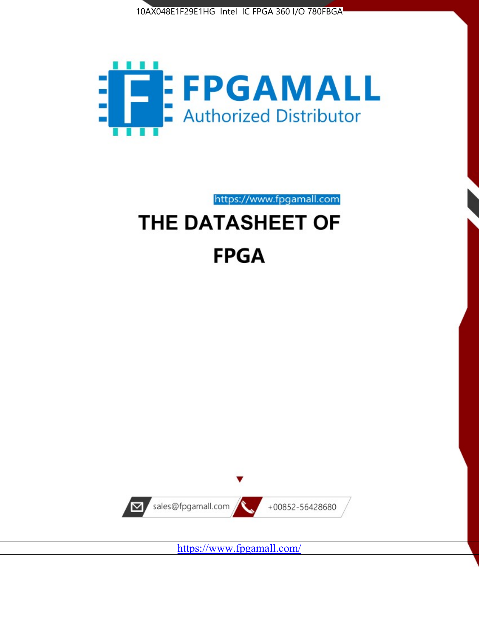



https://www.fpgamall.com

# THE DATASHEET OF **FPGA**



<https://www.fpgamall.com/>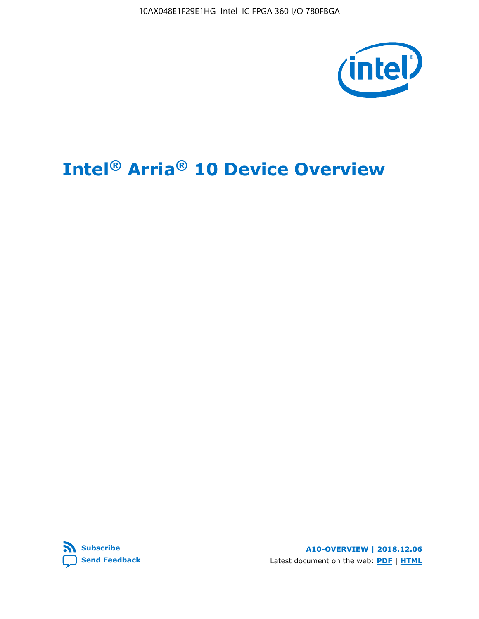10AX048E1F29E1HG Intel IC FPGA 360 I/O 780FBGA



# **Intel® Arria® 10 Device Overview**



**A10-OVERVIEW | 2018.12.06** Latest document on the web: **[PDF](https://www.intel.com/content/dam/www/programmable/us/en/pdfs/literature/hb/arria-10/a10_overview.pdf)** | **[HTML](https://www.intel.com/content/www/us/en/programmable/documentation/sam1403480274650.html)**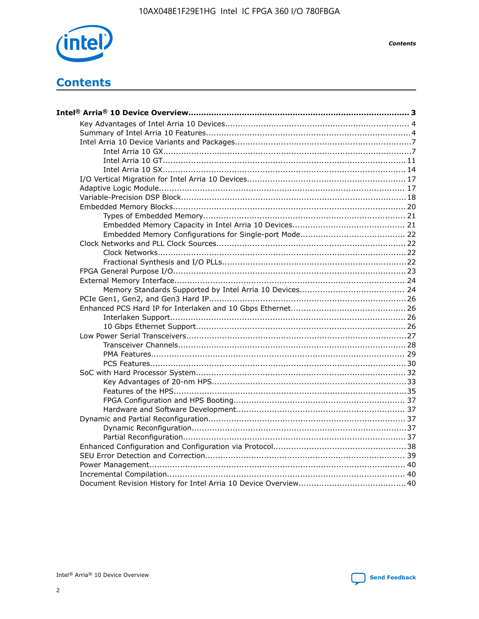

**Contents** 

# **Contents**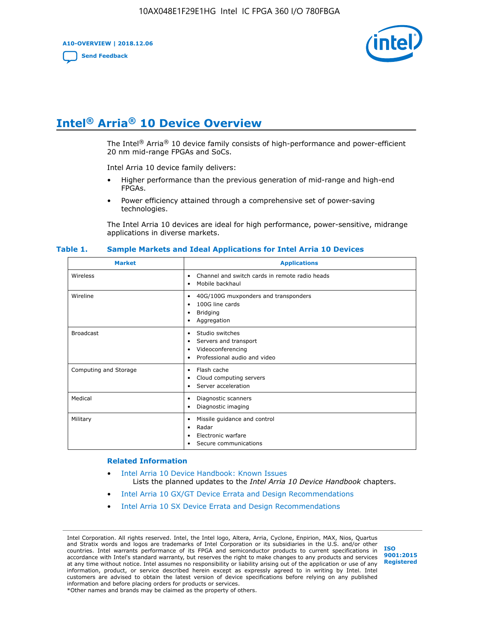**A10-OVERVIEW | 2018.12.06**

**[Send Feedback](mailto:FPGAtechdocfeedback@intel.com?subject=Feedback%20on%20Intel%20Arria%2010%20Device%20Overview%20(A10-OVERVIEW%202018.12.06)&body=We%20appreciate%20your%20feedback.%20In%20your%20comments,%20also%20specify%20the%20page%20number%20or%20paragraph.%20Thank%20you.)**



# **Intel® Arria® 10 Device Overview**

The Intel<sup>®</sup> Arria<sup>®</sup> 10 device family consists of high-performance and power-efficient 20 nm mid-range FPGAs and SoCs.

Intel Arria 10 device family delivers:

- Higher performance than the previous generation of mid-range and high-end FPGAs.
- Power efficiency attained through a comprehensive set of power-saving technologies.

The Intel Arria 10 devices are ideal for high performance, power-sensitive, midrange applications in diverse markets.

| <b>Market</b>         | <b>Applications</b>                                                                                               |
|-----------------------|-------------------------------------------------------------------------------------------------------------------|
| Wireless              | Channel and switch cards in remote radio heads<br>٠<br>Mobile backhaul<br>٠                                       |
| Wireline              | 40G/100G muxponders and transponders<br>٠<br>100G line cards<br>٠<br><b>Bridging</b><br>٠<br>Aggregation<br>٠     |
| <b>Broadcast</b>      | Studio switches<br>٠<br>Servers and transport<br>٠<br>Videoconferencing<br>٠<br>Professional audio and video<br>٠ |
| Computing and Storage | Flash cache<br>٠<br>Cloud computing servers<br>٠<br>Server acceleration<br>٠                                      |
| Medical               | Diagnostic scanners<br>٠<br>Diagnostic imaging<br>٠                                                               |
| Military              | Missile guidance and control<br>٠<br>Radar<br>٠<br>Electronic warfare<br>٠<br>Secure communications<br>٠          |

#### **Table 1. Sample Markets and Ideal Applications for Intel Arria 10 Devices**

#### **Related Information**

- [Intel Arria 10 Device Handbook: Known Issues](http://www.altera.com/support/kdb/solutions/rd07302013_646.html) Lists the planned updates to the *Intel Arria 10 Device Handbook* chapters.
- [Intel Arria 10 GX/GT Device Errata and Design Recommendations](https://www.intel.com/content/www/us/en/programmable/documentation/agz1493851706374.html#yqz1494433888646)
- [Intel Arria 10 SX Device Errata and Design Recommendations](https://www.intel.com/content/www/us/en/programmable/documentation/cru1462832385668.html#cru1462832558642)

Intel Corporation. All rights reserved. Intel, the Intel logo, Altera, Arria, Cyclone, Enpirion, MAX, Nios, Quartus and Stratix words and logos are trademarks of Intel Corporation or its subsidiaries in the U.S. and/or other countries. Intel warrants performance of its FPGA and semiconductor products to current specifications in accordance with Intel's standard warranty, but reserves the right to make changes to any products and services at any time without notice. Intel assumes no responsibility or liability arising out of the application or use of any information, product, or service described herein except as expressly agreed to in writing by Intel. Intel customers are advised to obtain the latest version of device specifications before relying on any published information and before placing orders for products or services. \*Other names and brands may be claimed as the property of others.

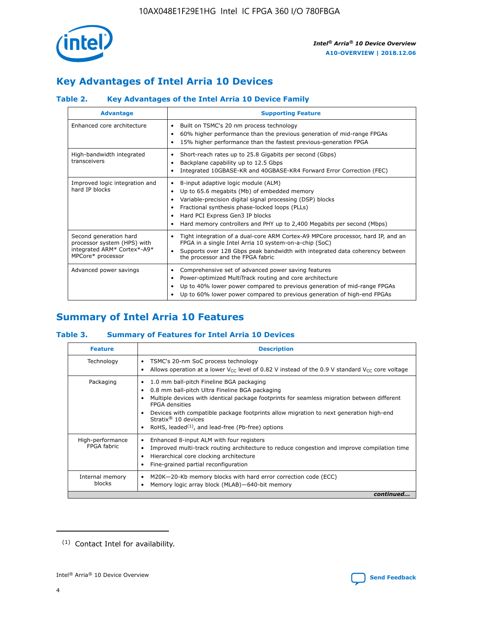

# **Key Advantages of Intel Arria 10 Devices**

# **Table 2. Key Advantages of the Intel Arria 10 Device Family**

| <b>Advantage</b>                                                                                          | <b>Supporting Feature</b>                                                                                                                                                                                                                                                                                                |
|-----------------------------------------------------------------------------------------------------------|--------------------------------------------------------------------------------------------------------------------------------------------------------------------------------------------------------------------------------------------------------------------------------------------------------------------------|
| Enhanced core architecture                                                                                | Built on TSMC's 20 nm process technology<br>٠<br>60% higher performance than the previous generation of mid-range FPGAs<br>٠<br>15% higher performance than the fastest previous-generation FPGA<br>٠                                                                                                                    |
| High-bandwidth integrated<br>transceivers                                                                 | Short-reach rates up to 25.8 Gigabits per second (Gbps)<br>٠<br>Backplane capability up to 12.5 Gbps<br>٠<br>Integrated 10GBASE-KR and 40GBASE-KR4 Forward Error Correction (FEC)<br>٠                                                                                                                                   |
| Improved logic integration and<br>hard IP blocks                                                          | 8-input adaptive logic module (ALM)<br>٠<br>Up to 65.6 megabits (Mb) of embedded memory<br>٠<br>Variable-precision digital signal processing (DSP) blocks<br>Fractional synthesis phase-locked loops (PLLs)<br>Hard PCI Express Gen3 IP blocks<br>Hard memory controllers and PHY up to 2,400 Megabits per second (Mbps) |
| Second generation hard<br>processor system (HPS) with<br>integrated ARM* Cortex*-A9*<br>MPCore* processor | Tight integration of a dual-core ARM Cortex-A9 MPCore processor, hard IP, and an<br>٠<br>FPGA in a single Intel Arria 10 system-on-a-chip (SoC)<br>Supports over 128 Gbps peak bandwidth with integrated data coherency between<br>$\bullet$<br>the processor and the FPGA fabric                                        |
| Advanced power savings                                                                                    | Comprehensive set of advanced power saving features<br>٠<br>Power-optimized MultiTrack routing and core architecture<br>٠<br>Up to 40% lower power compared to previous generation of mid-range FPGAs<br>٠<br>Up to 60% lower power compared to previous generation of high-end FPGAs                                    |

# **Summary of Intel Arria 10 Features**

## **Table 3. Summary of Features for Intel Arria 10 Devices**

| <b>Feature</b>                  | <b>Description</b>                                                                                                                                                                                                                                                                                                                                                                                           |
|---------------------------------|--------------------------------------------------------------------------------------------------------------------------------------------------------------------------------------------------------------------------------------------------------------------------------------------------------------------------------------------------------------------------------------------------------------|
| Technology                      | TSMC's 20-nm SoC process technology<br>٠<br>Allows operation at a lower $V_{CC}$ level of 0.82 V instead of the 0.9 V standard $V_{CC}$ core voltage                                                                                                                                                                                                                                                         |
| Packaging                       | 1.0 mm ball-pitch Fineline BGA packaging<br>٠<br>0.8 mm ball-pitch Ultra Fineline BGA packaging<br>Multiple devices with identical package footprints for seamless migration between different<br><b>FPGA</b> densities<br>Devices with compatible package footprints allow migration to next generation high-end<br>Stratix <sup>®</sup> 10 devices<br>RoHS, leaded $(1)$ , and lead-free (Pb-free) options |
| High-performance<br>FPGA fabric | Enhanced 8-input ALM with four registers<br>Improved multi-track routing architecture to reduce congestion and improve compilation time<br>Hierarchical core clocking architecture<br>Fine-grained partial reconfiguration                                                                                                                                                                                   |
| Internal memory<br>blocks       | M20K-20-Kb memory blocks with hard error correction code (ECC)<br>٠<br>Memory logic array block (MLAB)-640-bit memory                                                                                                                                                                                                                                                                                        |
|                                 | continued                                                                                                                                                                                                                                                                                                                                                                                                    |



<sup>(1)</sup> Contact Intel for availability.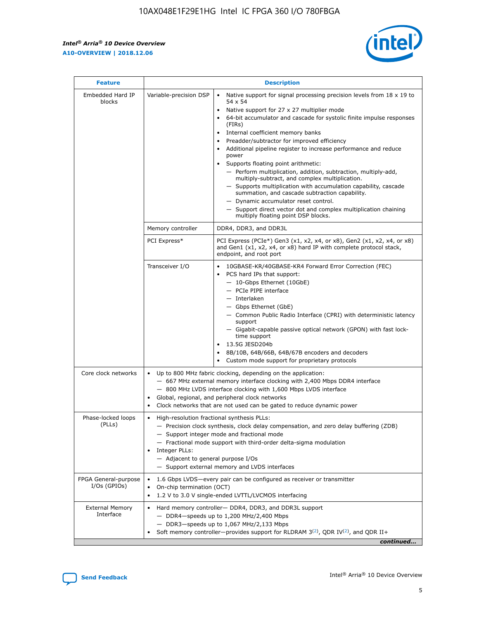$\mathsf{r}$ 



| <b>Feature</b>                         | <b>Description</b>                                                                                             |                                                                                                                                                                                                                                                                                                                                                                                                                                                                                                                                                                                                                                                                                                                                                                                                                                        |  |  |  |  |  |
|----------------------------------------|----------------------------------------------------------------------------------------------------------------|----------------------------------------------------------------------------------------------------------------------------------------------------------------------------------------------------------------------------------------------------------------------------------------------------------------------------------------------------------------------------------------------------------------------------------------------------------------------------------------------------------------------------------------------------------------------------------------------------------------------------------------------------------------------------------------------------------------------------------------------------------------------------------------------------------------------------------------|--|--|--|--|--|
| Embedded Hard IP<br>blocks             | Variable-precision DSP                                                                                         | Native support for signal processing precision levels from $18 \times 19$ to<br>54 x 54<br>Native support for 27 x 27 multiplier mode<br>64-bit accumulator and cascade for systolic finite impulse responses<br>(FIRs)<br>Internal coefficient memory banks<br>$\bullet$<br>Preadder/subtractor for improved efficiency<br>Additional pipeline register to increase performance and reduce<br>power<br>Supports floating point arithmetic:<br>- Perform multiplication, addition, subtraction, multiply-add,<br>multiply-subtract, and complex multiplication.<br>- Supports multiplication with accumulation capability, cascade<br>summation, and cascade subtraction capability.<br>- Dynamic accumulator reset control.<br>- Support direct vector dot and complex multiplication chaining<br>multiply floating point DSP blocks. |  |  |  |  |  |
|                                        | Memory controller                                                                                              | DDR4, DDR3, and DDR3L                                                                                                                                                                                                                                                                                                                                                                                                                                                                                                                                                                                                                                                                                                                                                                                                                  |  |  |  |  |  |
|                                        | PCI Express*                                                                                                   | PCI Express (PCIe*) Gen3 (x1, x2, x4, or x8), Gen2 (x1, x2, x4, or x8)<br>and Gen1 (x1, x2, x4, or x8) hard IP with complete protocol stack,<br>endpoint, and root port                                                                                                                                                                                                                                                                                                                                                                                                                                                                                                                                                                                                                                                                |  |  |  |  |  |
|                                        | Transceiver I/O                                                                                                | 10GBASE-KR/40GBASE-KR4 Forward Error Correction (FEC)<br>PCS hard IPs that support:<br>$\bullet$<br>- 10-Gbps Ethernet (10GbE)<br>- PCIe PIPE interface<br>$-$ Interlaken<br>- Gbps Ethernet (GbE)<br>- Common Public Radio Interface (CPRI) with deterministic latency<br>support<br>- Gigabit-capable passive optical network (GPON) with fast lock-<br>time support<br>13.5G JESD204b<br>$\bullet$<br>8B/10B, 64B/66B, 64B/67B encoders and decoders<br>Custom mode support for proprietary protocols                                                                                                                                                                                                                                                                                                                               |  |  |  |  |  |
| Core clock networks                    | $\bullet$<br>$\bullet$                                                                                         | Up to 800 MHz fabric clocking, depending on the application:<br>- 667 MHz external memory interface clocking with 2,400 Mbps DDR4 interface<br>- 800 MHz LVDS interface clocking with 1,600 Mbps LVDS interface<br>Global, regional, and peripheral clock networks<br>Clock networks that are not used can be gated to reduce dynamic power                                                                                                                                                                                                                                                                                                                                                                                                                                                                                            |  |  |  |  |  |
| Phase-locked loops<br>(PLLs)           | High-resolution fractional synthesis PLLs:<br>$\bullet$<br>Integer PLLs:<br>- Adjacent to general purpose I/Os | - Precision clock synthesis, clock delay compensation, and zero delay buffering (ZDB)<br>- Support integer mode and fractional mode<br>- Fractional mode support with third-order delta-sigma modulation<br>- Support external memory and LVDS interfaces                                                                                                                                                                                                                                                                                                                                                                                                                                                                                                                                                                              |  |  |  |  |  |
| FPGA General-purpose<br>$I/Os$ (GPIOs) | On-chip termination (OCT)                                                                                      | 1.6 Gbps LVDS-every pair can be configured as receiver or transmitter<br>1.2 V to 3.0 V single-ended LVTTL/LVCMOS interfacing                                                                                                                                                                                                                                                                                                                                                                                                                                                                                                                                                                                                                                                                                                          |  |  |  |  |  |
| <b>External Memory</b><br>Interface    |                                                                                                                | Hard memory controller- DDR4, DDR3, and DDR3L support<br>$-$ DDR4 $-$ speeds up to 1,200 MHz/2,400 Mbps<br>- DDR3-speeds up to 1,067 MHz/2,133 Mbps<br>Soft memory controller—provides support for RLDRAM $3^{(2)}$ , QDR IV $^{(2)}$ , and QDR II+<br>continued                                                                                                                                                                                                                                                                                                                                                                                                                                                                                                                                                                       |  |  |  |  |  |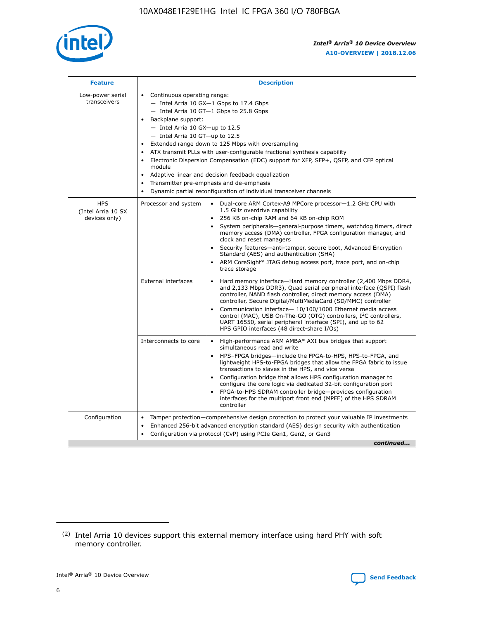

| <b>Feature</b>                                    | <b>Description</b>                                                                                                                                                                                                                                                                                                                                                                                                                                                                                                                                                                                                                                                        |
|---------------------------------------------------|---------------------------------------------------------------------------------------------------------------------------------------------------------------------------------------------------------------------------------------------------------------------------------------------------------------------------------------------------------------------------------------------------------------------------------------------------------------------------------------------------------------------------------------------------------------------------------------------------------------------------------------------------------------------------|
| Low-power serial<br>transceivers                  | • Continuous operating range:<br>- Intel Arria 10 GX-1 Gbps to 17.4 Gbps<br>$-$ Intel Arria 10 GT $-1$ Gbps to 25.8 Gbps<br>Backplane support:<br>$\bullet$<br>$-$ Intel Arria 10 GX-up to 12.5<br>$-$ Intel Arria 10 GT-up to 12.5<br>Extended range down to 125 Mbps with oversampling<br>ATX transmit PLLs with user-configurable fractional synthesis capability<br>Electronic Dispersion Compensation (EDC) support for XFP, SFP+, OSFP, and CFP optical<br>module<br>Adaptive linear and decision feedback equalization<br>$\bullet$<br>Transmitter pre-emphasis and de-emphasis<br>$\bullet$<br>Dynamic partial reconfiguration of individual transceiver channels |
| <b>HPS</b><br>(Intel Arria 10 SX<br>devices only) | Dual-core ARM Cortex-A9 MPCore processor-1.2 GHz CPU with<br>Processor and system<br>$\bullet$<br>1.5 GHz overdrive capability<br>256 KB on-chip RAM and 64 KB on-chip ROM<br>System peripherals-general-purpose timers, watchdog timers, direct<br>memory access (DMA) controller, FPGA configuration manager, and<br>clock and reset managers<br>• Security features—anti-tamper, secure boot, Advanced Encryption<br>Standard (AES) and authentication (SHA)<br>ARM CoreSight* JTAG debug access port, trace port, and on-chip<br>$\bullet$<br>trace storage                                                                                                           |
|                                                   | <b>External interfaces</b><br>Hard memory interface—Hard memory controller (2,400 Mbps DDR4,<br>and 2,133 Mbps DDR3), Quad serial peripheral interface (QSPI) flash<br>controller, NAND flash controller, direct memory access (DMA)<br>controller, Secure Digital/MultiMediaCard (SD/MMC) controller<br>Communication interface-10/100/1000 Ethernet media access<br>$\bullet$<br>control (MAC), USB On-The-GO (OTG) controllers, I <sup>2</sup> C controllers,<br>UART 16550, serial peripheral interface (SPI), and up to 62<br>HPS GPIO interfaces (48 direct-share I/Os)                                                                                             |
|                                                   | Interconnects to core<br>• High-performance ARM AMBA* AXI bus bridges that support<br>simultaneous read and write<br>HPS-FPGA bridges-include the FPGA-to-HPS, HPS-to-FPGA, and<br>$\bullet$<br>lightweight HPS-to-FPGA bridges that allow the FPGA fabric to issue<br>transactions to slaves in the HPS, and vice versa<br>Configuration bridge that allows HPS configuration manager to<br>configure the core logic via dedicated 32-bit configuration port<br>FPGA-to-HPS SDRAM controller bridge-provides configuration<br>interfaces for the multiport front end (MPFE) of the HPS SDRAM<br>controller                                                               |
| Configuration                                     | Tamper protection—comprehensive design protection to protect your valuable IP investments<br>Enhanced 256-bit advanced encryption standard (AES) design security with authentication<br>$\bullet$<br>Configuration via protocol (CvP) using PCIe Gen1, Gen2, or Gen3<br>continued                                                                                                                                                                                                                                                                                                                                                                                         |



<sup>(2)</sup> Intel Arria 10 devices support this external memory interface using hard PHY with soft memory controller.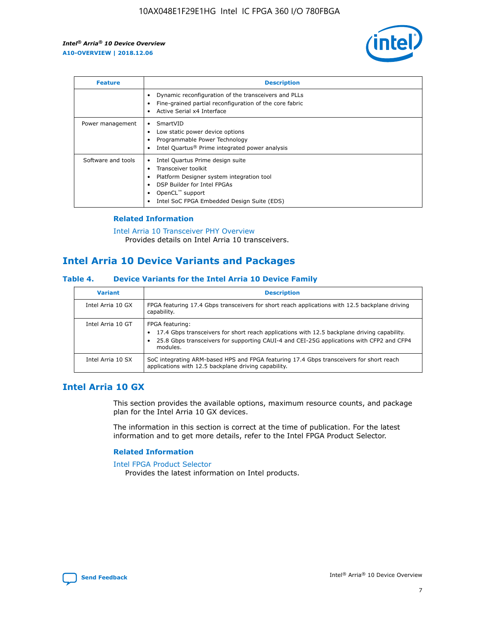

| <b>Feature</b>     | <b>Description</b>                                                                                                                                                                                               |
|--------------------|------------------------------------------------------------------------------------------------------------------------------------------------------------------------------------------------------------------|
|                    | Dynamic reconfiguration of the transceivers and PLLs<br>Fine-grained partial reconfiguration of the core fabric<br>Active Serial x4 Interface<br>$\bullet$                                                       |
| Power management   | SmartVID<br>Low static power device options<br>Programmable Power Technology<br>Intel Quartus <sup>®</sup> Prime integrated power analysis                                                                       |
| Software and tools | Intel Quartus Prime design suite<br>Transceiver toolkit<br>Platform Designer system integration tool<br>DSP Builder for Intel FPGAs<br>OpenCL <sup>™</sup> support<br>Intel SoC FPGA Embedded Design Suite (EDS) |

## **Related Information**

[Intel Arria 10 Transceiver PHY Overview](https://www.intel.com/content/www/us/en/programmable/documentation/nik1398707230472.html#nik1398706768037) Provides details on Intel Arria 10 transceivers.

# **Intel Arria 10 Device Variants and Packages**

#### **Table 4. Device Variants for the Intel Arria 10 Device Family**

| <b>Variant</b>    | <b>Description</b>                                                                                                                                                                                                     |
|-------------------|------------------------------------------------------------------------------------------------------------------------------------------------------------------------------------------------------------------------|
| Intel Arria 10 GX | FPGA featuring 17.4 Gbps transceivers for short reach applications with 12.5 backplane driving<br>capability.                                                                                                          |
| Intel Arria 10 GT | FPGA featuring:<br>17.4 Gbps transceivers for short reach applications with 12.5 backplane driving capability.<br>25.8 Gbps transceivers for supporting CAUI-4 and CEI-25G applications with CFP2 and CFP4<br>modules. |
| Intel Arria 10 SX | SoC integrating ARM-based HPS and FPGA featuring 17.4 Gbps transceivers for short reach<br>applications with 12.5 backplane driving capability.                                                                        |

# **Intel Arria 10 GX**

This section provides the available options, maximum resource counts, and package plan for the Intel Arria 10 GX devices.

The information in this section is correct at the time of publication. For the latest information and to get more details, refer to the Intel FPGA Product Selector.

#### **Related Information**

#### [Intel FPGA Product Selector](http://www.altera.com/products/selector/psg-selector.html) Provides the latest information on Intel products.

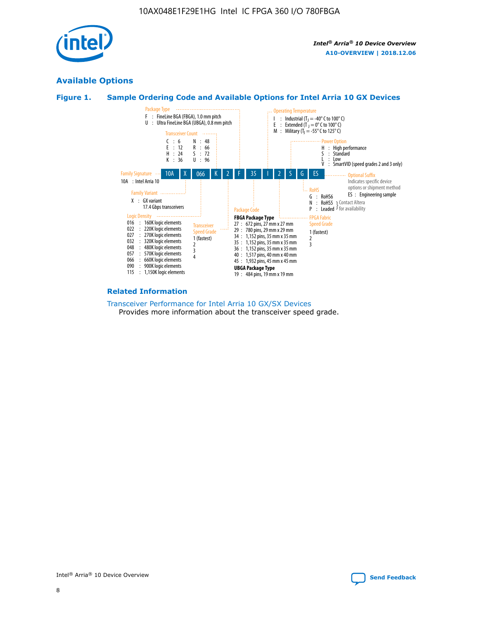

# **Available Options**





#### **Related Information**

[Transceiver Performance for Intel Arria 10 GX/SX Devices](https://www.intel.com/content/www/us/en/programmable/documentation/mcn1413182292568.html#mcn1413213965502) Provides more information about the transceiver speed grade.

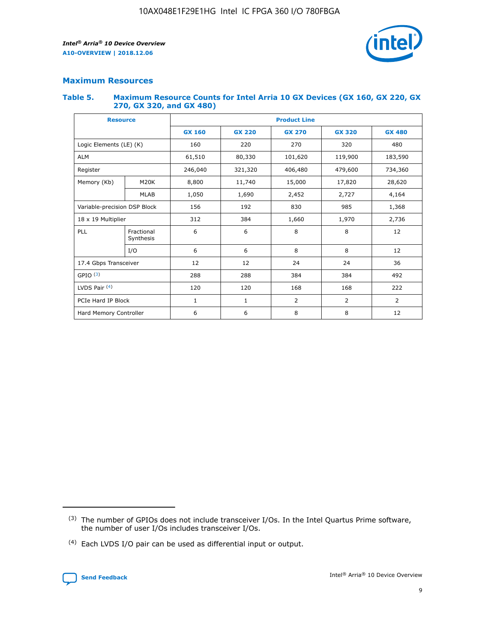

# **Maximum Resources**

#### **Table 5. Maximum Resource Counts for Intel Arria 10 GX Devices (GX 160, GX 220, GX 270, GX 320, and GX 480)**

| <b>Resource</b>              |                         | <b>Product Line</b> |                                |                |                |                |  |  |  |
|------------------------------|-------------------------|---------------------|--------------------------------|----------------|----------------|----------------|--|--|--|
|                              |                         | <b>GX 160</b>       | <b>GX 220</b><br><b>GX 270</b> |                | <b>GX 320</b>  | <b>GX 480</b>  |  |  |  |
| Logic Elements (LE) (K)      |                         | 160                 | 320<br>220<br>270              |                |                | 480            |  |  |  |
| <b>ALM</b>                   |                         | 61,510              | 80,330                         | 101,620        | 119,900        | 183,590        |  |  |  |
| Register                     |                         | 246,040             | 479,600<br>321,320<br>406,480  |                |                | 734,360        |  |  |  |
| Memory (Kb)                  | M <sub>20</sub> K       | 8,800               | 11,740                         | 15,000         | 17,820         | 28,620         |  |  |  |
|                              | <b>MLAB</b>             | 1,050               | 1,690                          | 2,452          | 2,727          | 4,164          |  |  |  |
| Variable-precision DSP Block |                         | 156                 | 192                            | 830            | 985            | 1,368          |  |  |  |
| 18 x 19 Multiplier           |                         | 312                 | 384                            | 1,970<br>1,660 |                | 2,736          |  |  |  |
| PLL                          | Fractional<br>Synthesis | 6                   | 6                              | 8              | 8              | 12             |  |  |  |
|                              | I/O                     | 6                   | 6                              | 8              | 8              | 12             |  |  |  |
| 17.4 Gbps Transceiver        |                         | 12                  | 12                             | 24             | 24             | 36             |  |  |  |
| GPIO <sup>(3)</sup>          |                         | 288                 | 288                            | 384            | 384            | 492            |  |  |  |
| LVDS Pair $(4)$              |                         | 120                 | 120                            | 168            | 168            | 222            |  |  |  |
| PCIe Hard IP Block           |                         | $\mathbf{1}$        | 1                              | $\overline{2}$ | $\overline{2}$ | $\overline{2}$ |  |  |  |
| Hard Memory Controller       |                         | 6                   | 6                              | 8              | 8              |                |  |  |  |

<sup>(4)</sup> Each LVDS I/O pair can be used as differential input or output.



<sup>(3)</sup> The number of GPIOs does not include transceiver I/Os. In the Intel Quartus Prime software, the number of user I/Os includes transceiver I/Os.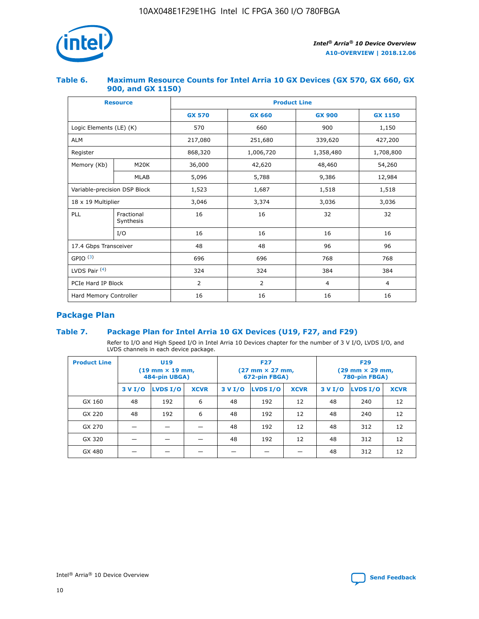

## **Table 6. Maximum Resource Counts for Intel Arria 10 GX Devices (GX 570, GX 660, GX 900, and GX 1150)**

|                              | <b>Resource</b>         | <b>Product Line</b> |                |                |                |  |  |  |  |
|------------------------------|-------------------------|---------------------|----------------|----------------|----------------|--|--|--|--|
|                              |                         | <b>GX 570</b>       | <b>GX 660</b>  | <b>GX 900</b>  | <b>GX 1150</b> |  |  |  |  |
| Logic Elements (LE) (K)      |                         | 570                 | 660            | 900            | 1,150          |  |  |  |  |
| <b>ALM</b>                   |                         | 217,080             | 251,680        | 339,620        | 427,200        |  |  |  |  |
| Register                     |                         | 868,320             | 1,006,720      | 1,358,480      | 1,708,800      |  |  |  |  |
| Memory (Kb)                  | <b>M20K</b>             | 36,000              | 42,620         | 48,460         | 54,260         |  |  |  |  |
|                              | <b>MLAB</b>             | 5,096               | 5,788<br>9,386 |                | 12,984         |  |  |  |  |
| Variable-precision DSP Block |                         | 1,523               | 1,687          | 1,518          | 1,518          |  |  |  |  |
| $18 \times 19$ Multiplier    |                         | 3,046               | 3,374          | 3,036          | 3,036          |  |  |  |  |
| PLL                          | Fractional<br>Synthesis | 16                  | 16             | 32             | 32             |  |  |  |  |
|                              | I/O                     | 16                  | 16             | 16             | 16             |  |  |  |  |
| 17.4 Gbps Transceiver        |                         | 48                  | 96<br>48       |                | 96             |  |  |  |  |
| GPIO <sup>(3)</sup>          |                         | 696                 | 696            | 768            | 768            |  |  |  |  |
| LVDS Pair $(4)$              |                         | 324                 | 324<br>384     |                | 384            |  |  |  |  |
| PCIe Hard IP Block           |                         | 2                   | 2              | $\overline{4}$ | $\overline{4}$ |  |  |  |  |
| Hard Memory Controller       |                         | 16                  | 16             | 16             | 16             |  |  |  |  |

# **Package Plan**

## **Table 7. Package Plan for Intel Arria 10 GX Devices (U19, F27, and F29)**

Refer to I/O and High Speed I/O in Intel Arria 10 Devices chapter for the number of 3 V I/O, LVDS I/O, and LVDS channels in each device package.

| <b>Product Line</b> | U <sub>19</sub><br>$(19 \text{ mm} \times 19 \text{ mm})$<br>484-pin UBGA) |          |             |         | <b>F27</b><br>(27 mm × 27 mm,<br>672-pin FBGA) |             | <b>F29</b><br>(29 mm × 29 mm,<br>780-pin FBGA) |          |             |  |
|---------------------|----------------------------------------------------------------------------|----------|-------------|---------|------------------------------------------------|-------------|------------------------------------------------|----------|-------------|--|
|                     | 3 V I/O                                                                    | LVDS I/O | <b>XCVR</b> | 3 V I/O | <b>LVDS I/O</b>                                | <b>XCVR</b> | 3 V I/O                                        | LVDS I/O | <b>XCVR</b> |  |
| GX 160              | 48                                                                         | 192      | 6           | 48      | 192                                            | 12          | 48                                             | 240      | 12          |  |
| GX 220              | 48                                                                         | 192      | 6           | 48      | 192                                            | 12          | 48                                             | 240      | 12          |  |
| GX 270              |                                                                            |          |             | 48      | 192                                            | 12          | 48                                             | 312      | 12          |  |
| GX 320              |                                                                            |          |             | 48      | 192                                            | 12          | 48                                             | 312      | 12          |  |
| GX 480              |                                                                            |          |             |         |                                                |             | 48                                             | 312      | 12          |  |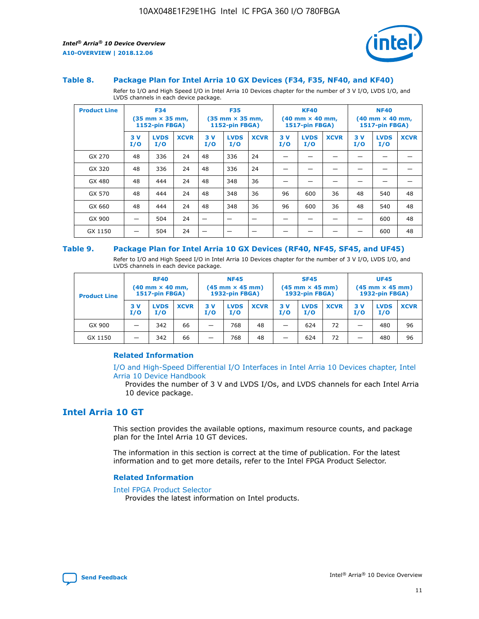

#### **Table 8. Package Plan for Intel Arria 10 GX Devices (F34, F35, NF40, and KF40)**

Refer to I/O and High Speed I/O in Intel Arria 10 Devices chapter for the number of 3 V I/O, LVDS I/O, and LVDS channels in each device package.

| <b>Product Line</b> | <b>F34</b><br>$(35 \text{ mm} \times 35 \text{ mm})$<br>1152-pin FBGA) |                    | <b>F35</b><br>$(35 \text{ mm} \times 35 \text{ mm})$<br><b>1152-pin FBGA)</b> |           | <b>KF40</b><br>$(40 \text{ mm} \times 40 \text{ mm})$<br>1517-pin FBGA) |             |            | <b>NF40</b><br>$(40 \text{ mm} \times 40 \text{ mm})$<br><b>1517-pin FBGA)</b> |             |            |                    |             |
|---------------------|------------------------------------------------------------------------|--------------------|-------------------------------------------------------------------------------|-----------|-------------------------------------------------------------------------|-------------|------------|--------------------------------------------------------------------------------|-------------|------------|--------------------|-------------|
|                     | 3V<br>I/O                                                              | <b>LVDS</b><br>I/O | <b>XCVR</b>                                                                   | 3V<br>I/O | <b>LVDS</b><br>I/O                                                      | <b>XCVR</b> | 3 V<br>I/O | <b>LVDS</b><br>I/O                                                             | <b>XCVR</b> | 3 V<br>I/O | <b>LVDS</b><br>I/O | <b>XCVR</b> |
| GX 270              | 48                                                                     | 336                | 24                                                                            | 48        | 336                                                                     | 24          |            |                                                                                |             |            |                    |             |
| GX 320              | 48                                                                     | 336                | 24                                                                            | 48        | 336                                                                     | 24          |            |                                                                                |             |            |                    |             |
| GX 480              | 48                                                                     | 444                | 24                                                                            | 48        | 348                                                                     | 36          |            |                                                                                |             |            |                    |             |
| GX 570              | 48                                                                     | 444                | 24                                                                            | 48        | 348                                                                     | 36          | 96         | 600                                                                            | 36          | 48         | 540                | 48          |
| GX 660              | 48                                                                     | 444                | 24                                                                            | 48        | 348                                                                     | 36          | 96         | 600                                                                            | 36          | 48         | 540                | 48          |
| GX 900              |                                                                        | 504                | 24                                                                            | -         |                                                                         |             |            |                                                                                |             |            | 600                | 48          |
| GX 1150             |                                                                        | 504                | 24                                                                            |           |                                                                         |             |            |                                                                                |             |            | 600                | 48          |

#### **Table 9. Package Plan for Intel Arria 10 GX Devices (RF40, NF45, SF45, and UF45)**

Refer to I/O and High Speed I/O in Intel Arria 10 Devices chapter for the number of 3 V I/O, LVDS I/O, and LVDS channels in each device package.

| <b>Product Line</b> | <b>RF40</b><br>$(40$ mm $\times$ 40 mm,<br>1517-pin FBGA) |                    |             | <b>NF45</b><br>$(45 \text{ mm} \times 45 \text{ mm})$<br><b>1932-pin FBGA)</b> |                    |             | <b>SF45</b><br>$(45 \text{ mm} \times 45 \text{ mm})$<br><b>1932-pin FBGA)</b> |                    |             | <b>UF45</b><br>$(45 \text{ mm} \times 45 \text{ mm})$<br><b>1932-pin FBGA)</b> |                    |             |
|---------------------|-----------------------------------------------------------|--------------------|-------------|--------------------------------------------------------------------------------|--------------------|-------------|--------------------------------------------------------------------------------|--------------------|-------------|--------------------------------------------------------------------------------|--------------------|-------------|
|                     | 3V<br>I/O                                                 | <b>LVDS</b><br>I/O | <b>XCVR</b> | 3 V<br>I/O                                                                     | <b>LVDS</b><br>I/O | <b>XCVR</b> | 3 V<br>I/O                                                                     | <b>LVDS</b><br>I/O | <b>XCVR</b> | 3V<br>I/O                                                                      | <b>LVDS</b><br>I/O | <b>XCVR</b> |
| GX 900              |                                                           | 342                | 66          | _                                                                              | 768                | 48          |                                                                                | 624                | 72          |                                                                                | 480                | 96          |
| GX 1150             |                                                           | 342                | 66          | _                                                                              | 768                | 48          |                                                                                | 624                | 72          |                                                                                | 480                | 96          |

#### **Related Information**

[I/O and High-Speed Differential I/O Interfaces in Intel Arria 10 Devices chapter, Intel](https://www.intel.com/content/www/us/en/programmable/documentation/sam1403482614086.html#sam1403482030321) [Arria 10 Device Handbook](https://www.intel.com/content/www/us/en/programmable/documentation/sam1403482614086.html#sam1403482030321)

Provides the number of 3 V and LVDS I/Os, and LVDS channels for each Intel Arria 10 device package.

# **Intel Arria 10 GT**

This section provides the available options, maximum resource counts, and package plan for the Intel Arria 10 GT devices.

The information in this section is correct at the time of publication. For the latest information and to get more details, refer to the Intel FPGA Product Selector.

#### **Related Information**

#### [Intel FPGA Product Selector](http://www.altera.com/products/selector/psg-selector.html)

Provides the latest information on Intel products.

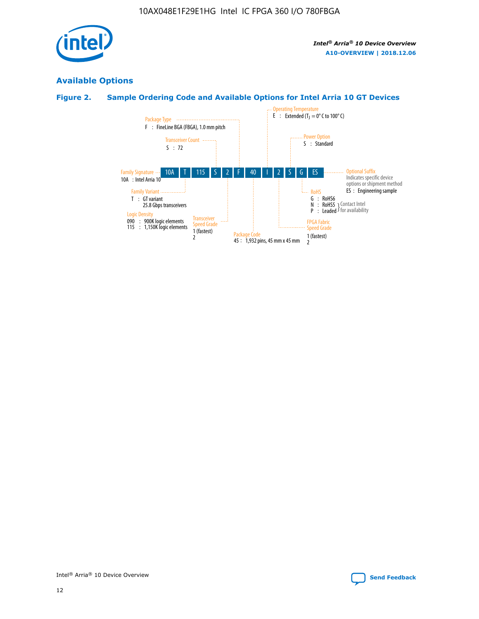

# **Available Options**

# **Figure 2. Sample Ordering Code and Available Options for Intel Arria 10 GT Devices**

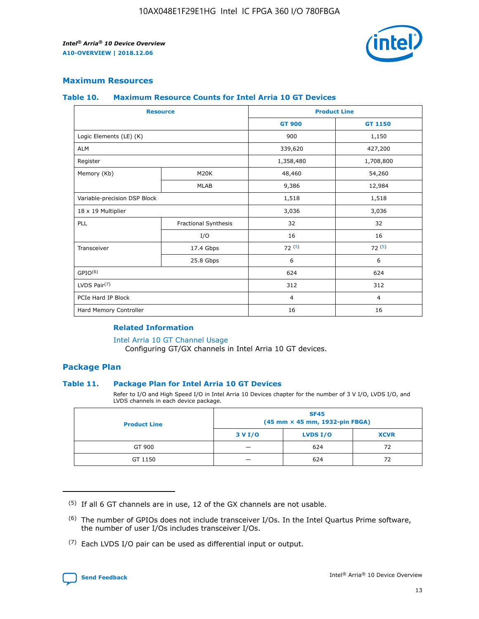

## **Maximum Resources**

#### **Table 10. Maximum Resource Counts for Intel Arria 10 GT Devices**

| <b>Resource</b>              |                      |                | <b>Product Line</b> |  |
|------------------------------|----------------------|----------------|---------------------|--|
|                              |                      | <b>GT 900</b>  | <b>GT 1150</b>      |  |
| Logic Elements (LE) (K)      |                      | 900            | 1,150               |  |
| <b>ALM</b>                   |                      | 339,620        | 427,200             |  |
| Register                     |                      | 1,358,480      | 1,708,800           |  |
| Memory (Kb)                  | M20K                 | 48,460         | 54,260              |  |
|                              | <b>MLAB</b>          | 9,386          | 12,984              |  |
| Variable-precision DSP Block |                      | 1,518          | 1,518               |  |
| 18 x 19 Multiplier           |                      | 3,036          | 3,036               |  |
| PLL                          | Fractional Synthesis | 32             | 32                  |  |
|                              | I/O                  | 16             | 16                  |  |
| Transceiver                  | 17.4 Gbps            | 72(5)          | 72(5)               |  |
|                              | 25.8 Gbps            | 6              | 6                   |  |
| GPIO <sup>(6)</sup>          |                      | 624            | 624                 |  |
| LVDS Pair $(7)$              |                      | 312            | 312                 |  |
| PCIe Hard IP Block           |                      | $\overline{4}$ | $\overline{4}$      |  |
| Hard Memory Controller       |                      | 16             | 16                  |  |

#### **Related Information**

#### [Intel Arria 10 GT Channel Usage](https://www.intel.com/content/www/us/en/programmable/documentation/nik1398707230472.html#nik1398707008178)

Configuring GT/GX channels in Intel Arria 10 GT devices.

## **Package Plan**

#### **Table 11. Package Plan for Intel Arria 10 GT Devices**

Refer to I/O and High Speed I/O in Intel Arria 10 Devices chapter for the number of 3 V I/O, LVDS I/O, and LVDS channels in each device package.

| <b>Product Line</b> | <b>SF45</b><br>(45 mm × 45 mm, 1932-pin FBGA) |                 |             |  |  |  |
|---------------------|-----------------------------------------------|-----------------|-------------|--|--|--|
|                     | 3 V I/O                                       | <b>LVDS I/O</b> | <b>XCVR</b> |  |  |  |
| GT 900              |                                               | 624             | 72          |  |  |  |
| GT 1150             |                                               | 624             | 72          |  |  |  |

<sup>(7)</sup> Each LVDS I/O pair can be used as differential input or output.



 $(5)$  If all 6 GT channels are in use, 12 of the GX channels are not usable.

<sup>(6)</sup> The number of GPIOs does not include transceiver I/Os. In the Intel Quartus Prime software, the number of user I/Os includes transceiver I/Os.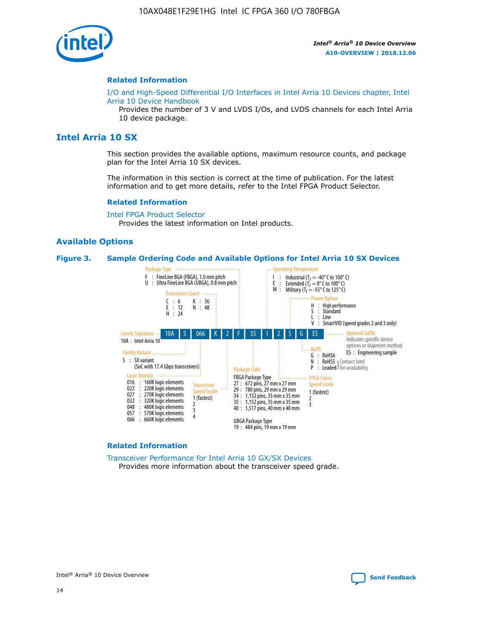

#### **Related Information**

[I/O and High-Speed Differential I/O Interfaces in Intel Arria 10 Devices chapter, Intel](https://www.intel.com/content/www/us/en/programmable/documentation/sam1403482614086.html#sam1403482030321) [Arria 10 Device Handbook](https://www.intel.com/content/www/us/en/programmable/documentation/sam1403482614086.html#sam1403482030321)

Provides the number of 3 V and LVDS I/Os, and LVDS channels for each Intel Arria 10 device package.

# **Intel Arria 10 SX**

This section provides the available options, maximum resource counts, and package plan for the Intel Arria 10 SX devices.

The information in this section is correct at the time of publication. For the latest information and to get more details, refer to the Intel FPGA Product Selector.

#### **Related Information**

[Intel FPGA Product Selector](http://www.altera.com/products/selector/psg-selector.html) Provides the latest information on Intel products.

#### **Available Options**

#### **Figure 3. Sample Ordering Code and Available Options for Intel Arria 10 SX Devices**



#### **Related Information**

[Transceiver Performance for Intel Arria 10 GX/SX Devices](https://www.intel.com/content/www/us/en/programmable/documentation/mcn1413182292568.html#mcn1413213965502) Provides more information about the transceiver speed grade.

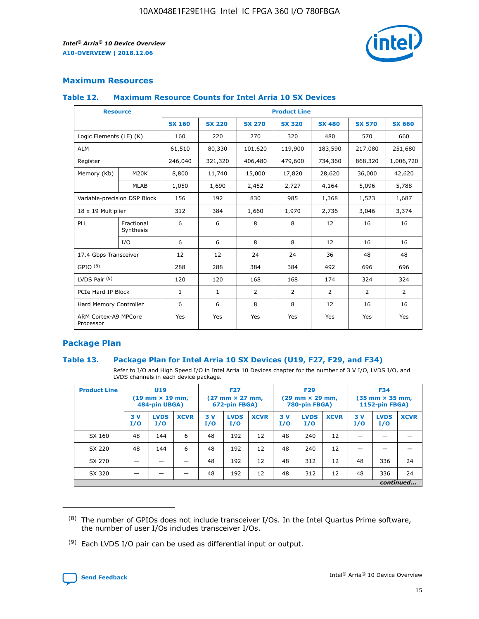

## **Maximum Resources**

#### **Table 12. Maximum Resource Counts for Intel Arria 10 SX Devices**

| <b>Resource</b>                   |                         | <b>Product Line</b> |               |                |                |                |                |                |  |  |  |
|-----------------------------------|-------------------------|---------------------|---------------|----------------|----------------|----------------|----------------|----------------|--|--|--|
|                                   |                         | <b>SX 160</b>       | <b>SX 220</b> | <b>SX 270</b>  | <b>SX 320</b>  | <b>SX 480</b>  | <b>SX 570</b>  | <b>SX 660</b>  |  |  |  |
| Logic Elements (LE) (K)           |                         | 160                 | 220           | 270            | 320            | 480            | 570            | 660            |  |  |  |
| <b>ALM</b>                        |                         | 61,510              | 80,330        | 101,620        | 119,900        | 183,590        | 217,080        | 251,680        |  |  |  |
| Register                          |                         | 246,040             | 321,320       | 406,480        | 479,600        | 734,360        | 868,320        | 1,006,720      |  |  |  |
| Memory (Kb)                       | M <sub>20</sub> K       | 8,800               | 11,740        | 15,000         | 17,820         | 28,620         | 36,000         | 42,620         |  |  |  |
|                                   | <b>MLAB</b>             | 1,050               | 1,690         | 2,452          | 2,727          | 4,164          | 5,096          | 5,788          |  |  |  |
| Variable-precision DSP Block      |                         | 156                 | 192           | 830            | 985            | 1,368          | 1,523          | 1,687          |  |  |  |
| 18 x 19 Multiplier                |                         | 312                 | 384           | 1,660          | 1,970          | 2,736          | 3,046          | 3,374          |  |  |  |
| PLL                               | Fractional<br>Synthesis | 6                   | 6             | 8              | 8              | 12             | 16             | 16             |  |  |  |
|                                   | I/O                     | 6                   | 6             | 8              | 8              | 12             | 16             | 16             |  |  |  |
| 17.4 Gbps Transceiver             |                         | 12                  | 12            | 24             | 24             | 36             | 48             | 48             |  |  |  |
| GPIO <sup>(8)</sup>               |                         | 288                 | 288           | 384            | 384            | 492            | 696            | 696            |  |  |  |
| LVDS Pair $(9)$                   |                         | 120                 | 120           | 168            | 168            | 174            | 324            | 324            |  |  |  |
| PCIe Hard IP Block                |                         | $\mathbf{1}$        | $\mathbf{1}$  | $\overline{2}$ | $\overline{2}$ | $\overline{2}$ | $\overline{2}$ | $\overline{2}$ |  |  |  |
| Hard Memory Controller            |                         | 6                   | 6             | 8              | 8              | 12             | 16             | 16             |  |  |  |
| ARM Cortex-A9 MPCore<br>Processor |                         | Yes                 | Yes           | Yes            | Yes            | Yes            | Yes            | <b>Yes</b>     |  |  |  |

## **Package Plan**

#### **Table 13. Package Plan for Intel Arria 10 SX Devices (U19, F27, F29, and F34)**

Refer to I/O and High Speed I/O in Intel Arria 10 Devices chapter for the number of 3 V I/O, LVDS I/O, and LVDS channels in each device package.

| <b>Product Line</b> | U19<br>$(19 \text{ mm} \times 19 \text{ mm})$<br>484-pin UBGA) |                    |             | <b>F27</b><br>$(27 \text{ mm} \times 27 \text{ mm})$<br>672-pin FBGA) |                    | <b>F29</b><br>$(29 \text{ mm} \times 29 \text{ mm})$<br>780-pin FBGA) |           |                    | <b>F34</b><br>$(35 \text{ mm} \times 35 \text{ mm})$<br><b>1152-pin FBGA)</b> |           |                    |             |
|---------------------|----------------------------------------------------------------|--------------------|-------------|-----------------------------------------------------------------------|--------------------|-----------------------------------------------------------------------|-----------|--------------------|-------------------------------------------------------------------------------|-----------|--------------------|-------------|
|                     | 3V<br>I/O                                                      | <b>LVDS</b><br>I/O | <b>XCVR</b> | 3V<br>I/O                                                             | <b>LVDS</b><br>I/O | <b>XCVR</b>                                                           | 3V<br>I/O | <b>LVDS</b><br>I/O | <b>XCVR</b>                                                                   | 3V<br>I/O | <b>LVDS</b><br>I/O | <b>XCVR</b> |
| SX 160              | 48                                                             | 144                | 6           | 48                                                                    | 192                | 12                                                                    | 48        | 240                | 12                                                                            |           |                    |             |
| SX 220              | 48                                                             | 144                | 6           | 48                                                                    | 192                | 12                                                                    | 48        | 240                | 12                                                                            |           |                    |             |
| SX 270              |                                                                |                    |             | 48                                                                    | 192                | 12                                                                    | 48        | 312                | 12                                                                            | 48        | 336                | 24          |
| SX 320              |                                                                |                    |             | 48                                                                    | 192                | 12                                                                    | 48        | 312                | 12                                                                            | 48        | 336                | 24          |
|                     | continued                                                      |                    |             |                                                                       |                    |                                                                       |           |                    |                                                                               |           |                    |             |

 $(8)$  The number of GPIOs does not include transceiver I/Os. In the Intel Quartus Prime software, the number of user I/Os includes transceiver I/Os.

 $(9)$  Each LVDS I/O pair can be used as differential input or output.

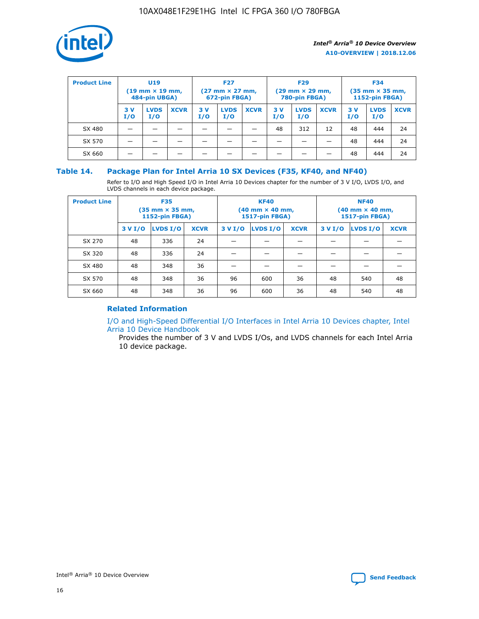

| <b>Product Line</b> |            | <b>U19</b><br>$(19 \text{ mm} \times 19 \text{ mm})$<br>484-pin UBGA) |             | <b>F27</b><br>$(27 \text{ mm} \times 27 \text{ mm})$<br>672-pin FBGA) |                    | <b>F29</b><br>$(29$ mm $\times$ 29 mm,<br>780-pin FBGA) |           |                    | <b>F34</b><br>$(35$ mm $\times$ 35 mm,<br><b>1152-pin FBGA)</b> |           |                    |             |
|---------------------|------------|-----------------------------------------------------------------------|-------------|-----------------------------------------------------------------------|--------------------|---------------------------------------------------------|-----------|--------------------|-----------------------------------------------------------------|-----------|--------------------|-------------|
|                     | 3 V<br>I/O | <b>LVDS</b><br>I/O                                                    | <b>XCVR</b> | 3V<br>I/O                                                             | <b>LVDS</b><br>I/O | <b>XCVR</b>                                             | 3V<br>I/O | <b>LVDS</b><br>I/O | <b>XCVR</b>                                                     | 3V<br>I/O | <b>LVDS</b><br>I/O | <b>XCVR</b> |
| SX 480              |            |                                                                       |             |                                                                       |                    |                                                         | 48        | 312                | 12                                                              | 48        | 444                | 24          |
| SX 570              |            |                                                                       |             |                                                                       |                    |                                                         |           |                    |                                                                 | 48        | 444                | 24          |
| SX 660              |            |                                                                       |             |                                                                       |                    |                                                         |           |                    |                                                                 | 48        | 444                | 24          |

## **Table 14. Package Plan for Intel Arria 10 SX Devices (F35, KF40, and NF40)**

Refer to I/O and High Speed I/O in Intel Arria 10 Devices chapter for the number of 3 V I/O, LVDS I/O, and LVDS channels in each device package.

| <b>Product Line</b> | <b>F35</b><br>(35 mm × 35 mm,<br><b>1152-pin FBGA)</b> |          |             |                                           | <b>KF40</b><br>(40 mm × 40 mm,<br>1517-pin FBGA) |    | <b>NF40</b><br>$(40 \text{ mm} \times 40 \text{ mm})$<br>1517-pin FBGA) |          |             |  |
|---------------------|--------------------------------------------------------|----------|-------------|-------------------------------------------|--------------------------------------------------|----|-------------------------------------------------------------------------|----------|-------------|--|
|                     | 3 V I/O                                                | LVDS I/O | <b>XCVR</b> | <b>LVDS I/O</b><br>3 V I/O<br><b>XCVR</b> |                                                  |    | 3 V I/O                                                                 | LVDS I/O | <b>XCVR</b> |  |
| SX 270              | 48                                                     | 336      | 24          |                                           |                                                  |    |                                                                         |          |             |  |
| SX 320              | 48                                                     | 336      | 24          |                                           |                                                  |    |                                                                         |          |             |  |
| SX 480              | 48                                                     | 348      | 36          |                                           |                                                  |    |                                                                         |          |             |  |
| SX 570              | 48                                                     | 348      | 36          | 96                                        | 600                                              | 36 | 48                                                                      | 540      | 48          |  |
| SX 660              | 48                                                     | 348      | 36          | 96                                        | 600                                              | 36 | 48                                                                      | 540      | 48          |  |

# **Related Information**

[I/O and High-Speed Differential I/O Interfaces in Intel Arria 10 Devices chapter, Intel](https://www.intel.com/content/www/us/en/programmable/documentation/sam1403482614086.html#sam1403482030321) [Arria 10 Device Handbook](https://www.intel.com/content/www/us/en/programmable/documentation/sam1403482614086.html#sam1403482030321)

Provides the number of 3 V and LVDS I/Os, and LVDS channels for each Intel Arria 10 device package.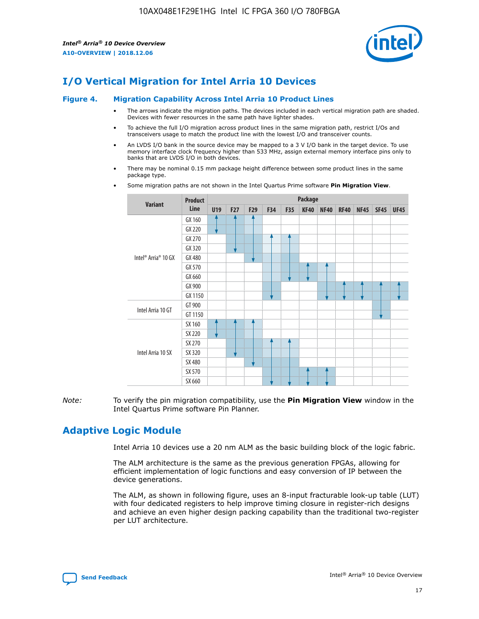

# **I/O Vertical Migration for Intel Arria 10 Devices**

#### **Figure 4. Migration Capability Across Intel Arria 10 Product Lines**

- The arrows indicate the migration paths. The devices included in each vertical migration path are shaded. Devices with fewer resources in the same path have lighter shades.
- To achieve the full I/O migration across product lines in the same migration path, restrict I/Os and transceivers usage to match the product line with the lowest I/O and transceiver counts.
- An LVDS I/O bank in the source device may be mapped to a 3 V I/O bank in the target device. To use memory interface clock frequency higher than 533 MHz, assign external memory interface pins only to banks that are LVDS I/O in both devices.
- There may be nominal 0.15 mm package height difference between some product lines in the same package type.
	- **Variant Product Line Package U19 F27 F29 F34 F35 KF40 NF40 RF40 NF45 SF45 UF45** Intel® Arria® 10 GX GX 160 GX 220 GX 270 GX 320 GX 480 GX 570 GX 660 GX 900 GX 1150 Intel Arria 10 GT GT 900 GT 1150 Intel Arria 10 SX SX 160 SX 220 SX 270 SX 320 SX 480 SX 570 SX 660
- Some migration paths are not shown in the Intel Quartus Prime software **Pin Migration View**.

*Note:* To verify the pin migration compatibility, use the **Pin Migration View** window in the Intel Quartus Prime software Pin Planner.

# **Adaptive Logic Module**

Intel Arria 10 devices use a 20 nm ALM as the basic building block of the logic fabric.

The ALM architecture is the same as the previous generation FPGAs, allowing for efficient implementation of logic functions and easy conversion of IP between the device generations.

The ALM, as shown in following figure, uses an 8-input fracturable look-up table (LUT) with four dedicated registers to help improve timing closure in register-rich designs and achieve an even higher design packing capability than the traditional two-register per LUT architecture.

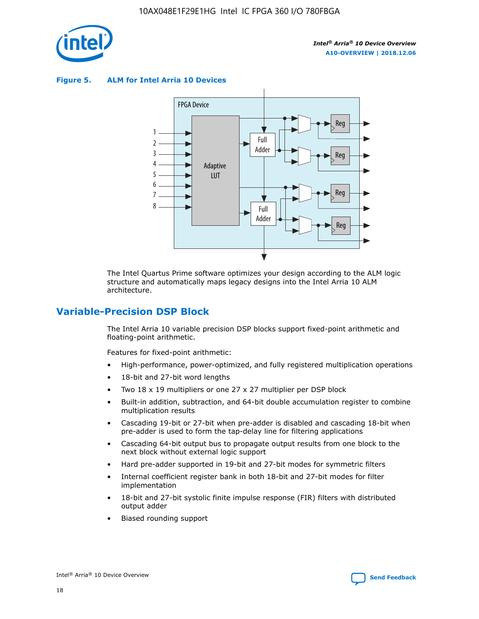

**Figure 5. ALM for Intel Arria 10 Devices**



The Intel Quartus Prime software optimizes your design according to the ALM logic structure and automatically maps legacy designs into the Intel Arria 10 ALM architecture.

# **Variable-Precision DSP Block**

The Intel Arria 10 variable precision DSP blocks support fixed-point arithmetic and floating-point arithmetic.

Features for fixed-point arithmetic:

- High-performance, power-optimized, and fully registered multiplication operations
- 18-bit and 27-bit word lengths
- Two 18 x 19 multipliers or one 27 x 27 multiplier per DSP block
- Built-in addition, subtraction, and 64-bit double accumulation register to combine multiplication results
- Cascading 19-bit or 27-bit when pre-adder is disabled and cascading 18-bit when pre-adder is used to form the tap-delay line for filtering applications
- Cascading 64-bit output bus to propagate output results from one block to the next block without external logic support
- Hard pre-adder supported in 19-bit and 27-bit modes for symmetric filters
- Internal coefficient register bank in both 18-bit and 27-bit modes for filter implementation
- 18-bit and 27-bit systolic finite impulse response (FIR) filters with distributed output adder
- Biased rounding support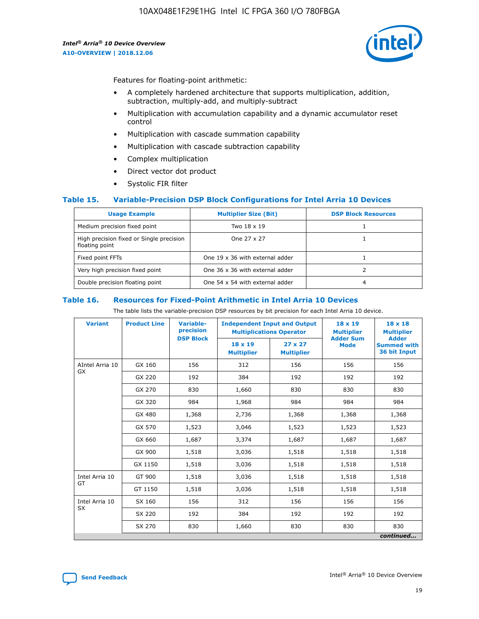

Features for floating-point arithmetic:

- A completely hardened architecture that supports multiplication, addition, subtraction, multiply-add, and multiply-subtract
- Multiplication with accumulation capability and a dynamic accumulator reset control
- Multiplication with cascade summation capability
- Multiplication with cascade subtraction capability
- Complex multiplication
- Direct vector dot product
- Systolic FIR filter

#### **Table 15. Variable-Precision DSP Block Configurations for Intel Arria 10 Devices**

| <b>Usage Example</b>                                       | <b>Multiplier Size (Bit)</b>    | <b>DSP Block Resources</b> |
|------------------------------------------------------------|---------------------------------|----------------------------|
| Medium precision fixed point                               | Two 18 x 19                     |                            |
| High precision fixed or Single precision<br>floating point | One 27 x 27                     |                            |
| Fixed point FFTs                                           | One 19 x 36 with external adder |                            |
| Very high precision fixed point                            | One 36 x 36 with external adder |                            |
| Double precision floating point                            | One 54 x 54 with external adder | 4                          |

#### **Table 16. Resources for Fixed-Point Arithmetic in Intel Arria 10 Devices**

The table lists the variable-precision DSP resources by bit precision for each Intel Arria 10 device.

| <b>Variant</b>  | <b>Product Line</b> | <b>Variable-</b><br>precision<br><b>DSP Block</b> | <b>Independent Input and Output</b><br><b>Multiplications Operator</b> |                                     | 18 x 19<br><b>Multiplier</b><br><b>Adder Sum</b> | $18 \times 18$<br><b>Multiplier</b><br><b>Adder</b> |
|-----------------|---------------------|---------------------------------------------------|------------------------------------------------------------------------|-------------------------------------|--------------------------------------------------|-----------------------------------------------------|
|                 |                     |                                                   | 18 x 19<br><b>Multiplier</b>                                           | $27 \times 27$<br><b>Multiplier</b> | <b>Mode</b>                                      | <b>Summed with</b><br>36 bit Input                  |
| AIntel Arria 10 | GX 160              | 156                                               | 312                                                                    | 156                                 | 156                                              | 156                                                 |
| GX              | GX 220              | 192                                               | 384                                                                    | 192                                 | 192                                              | 192                                                 |
|                 | GX 270              | 830                                               | 1,660                                                                  | 830                                 | 830                                              | 830                                                 |
|                 | GX 320              | 984                                               | 1,968                                                                  | 984                                 | 984                                              | 984                                                 |
|                 | GX 480              | 1,368                                             | 2,736                                                                  | 1,368                               | 1,368                                            | 1,368                                               |
|                 | GX 570              | 1,523                                             | 3,046                                                                  | 1,523                               | 1,523                                            | 1,523                                               |
|                 | GX 660              | 1,687                                             | 3,374                                                                  | 1,687                               | 1,687                                            | 1,687                                               |
|                 | GX 900              | 1,518                                             | 3,036                                                                  | 1,518                               | 1,518                                            | 1,518                                               |
|                 | GX 1150             | 1,518                                             | 3,036                                                                  | 1,518                               | 1,518                                            | 1,518                                               |
| Intel Arria 10  | GT 900              | 1,518                                             | 3,036                                                                  | 1,518                               | 1,518                                            | 1,518                                               |
| GT              | GT 1150             | 1,518                                             | 3,036                                                                  | 1,518                               | 1,518                                            | 1,518                                               |
| Intel Arria 10  | SX 160              | 156                                               | 312                                                                    | 156                                 | 156                                              | 156                                                 |
| <b>SX</b>       | SX 220              | 192                                               | 384                                                                    | 192                                 | 192                                              | 192                                                 |
|                 | SX 270              | 830                                               | 1,660                                                                  | 830                                 | 830                                              | 830                                                 |
|                 |                     |                                                   |                                                                        |                                     |                                                  | continued                                           |

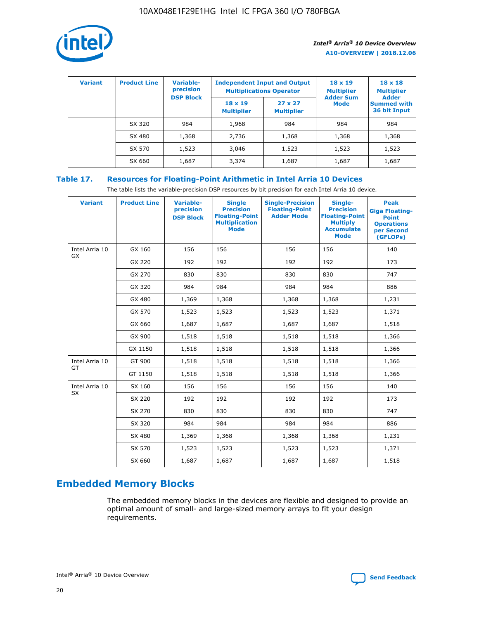

| <b>Variant</b> | <b>Product Line</b> | Variable-<br>precision | <b>Independent Input and Output</b><br><b>Multiplications Operator</b> |                                     | $18 \times 19$<br><b>Multiplier</b> | $18 \times 18$<br><b>Multiplier</b><br><b>Adder</b> |  |
|----------------|---------------------|------------------------|------------------------------------------------------------------------|-------------------------------------|-------------------------------------|-----------------------------------------------------|--|
|                |                     | <b>DSP Block</b>       | $18 \times 19$<br><b>Multiplier</b>                                    | $27 \times 27$<br><b>Multiplier</b> | <b>Adder Sum</b><br><b>Mode</b>     | <b>Summed with</b><br>36 bit Input                  |  |
|                | SX 320              | 984                    | 1,968                                                                  | 984                                 | 984                                 | 984                                                 |  |
|                | SX 480              | 1,368                  | 2,736                                                                  | 1,368                               | 1,368                               | 1,368                                               |  |
|                | SX 570              | 1,523                  | 3,046                                                                  | 1,523                               | 1,523                               | 1,523                                               |  |
|                | SX 660              | 1,687                  | 3,374                                                                  | 1,687                               | 1,687                               | 1,687                                               |  |

# **Table 17. Resources for Floating-Point Arithmetic in Intel Arria 10 Devices**

The table lists the variable-precision DSP resources by bit precision for each Intel Arria 10 device.

| <b>Variant</b> | <b>Product Line</b> | <b>Variable-</b><br>precision<br><b>DSP Block</b> | <b>Single</b><br><b>Precision</b><br><b>Floating-Point</b><br><b>Multiplication</b><br><b>Mode</b> | <b>Single-Precision</b><br><b>Floating-Point</b><br><b>Adder Mode</b> | Single-<br><b>Precision</b><br><b>Floating-Point</b><br><b>Multiply</b><br><b>Accumulate</b><br><b>Mode</b> | <b>Peak</b><br><b>Giga Floating-</b><br><b>Point</b><br><b>Operations</b><br>per Second<br>(GFLOPs) |
|----------------|---------------------|---------------------------------------------------|----------------------------------------------------------------------------------------------------|-----------------------------------------------------------------------|-------------------------------------------------------------------------------------------------------------|-----------------------------------------------------------------------------------------------------|
| Intel Arria 10 | GX 160              | 156                                               | 156                                                                                                | 156                                                                   | 156                                                                                                         | 140                                                                                                 |
| GX             | GX 220              | 192                                               | 192                                                                                                | 192                                                                   | 192                                                                                                         | 173                                                                                                 |
|                | GX 270              | 830                                               | 830                                                                                                | 830                                                                   | 830                                                                                                         | 747                                                                                                 |
|                | GX 320              | 984                                               | 984                                                                                                | 984                                                                   | 984                                                                                                         | 886                                                                                                 |
|                | GX 480              | 1,369                                             | 1,368                                                                                              | 1,368                                                                 | 1,368                                                                                                       | 1,231                                                                                               |
|                | GX 570              | 1,523                                             | 1,523                                                                                              | 1,523                                                                 | 1,523                                                                                                       | 1,371                                                                                               |
|                | GX 660              | 1,687                                             | 1,687                                                                                              | 1,687                                                                 | 1,687                                                                                                       | 1,518                                                                                               |
|                | GX 900              | 1,518                                             | 1,518                                                                                              | 1,518                                                                 | 1,518                                                                                                       | 1,366                                                                                               |
|                | GX 1150             | 1,518                                             | 1,518                                                                                              | 1,518                                                                 | 1,518                                                                                                       | 1,366                                                                                               |
| Intel Arria 10 | GT 900              | 1,518                                             | 1,518                                                                                              | 1,518                                                                 | 1,518                                                                                                       | 1,366                                                                                               |
| GT             | GT 1150             | 1,518                                             | 1,518                                                                                              | 1,518                                                                 | 1,518                                                                                                       | 1,366                                                                                               |
| Intel Arria 10 | SX 160              | 156                                               | 156                                                                                                | 156                                                                   | 156                                                                                                         | 140                                                                                                 |
| SX             | SX 220              | 192                                               | 192                                                                                                | 192                                                                   | 192                                                                                                         | 173                                                                                                 |
|                | SX 270              | 830                                               | 830                                                                                                | 830                                                                   | 830                                                                                                         | 747                                                                                                 |
|                | SX 320              | 984                                               | 984                                                                                                | 984                                                                   | 984                                                                                                         | 886                                                                                                 |
|                | SX 480              | 1,369                                             | 1,368                                                                                              | 1,368                                                                 | 1,368                                                                                                       | 1,231                                                                                               |
|                | SX 570              | 1,523                                             | 1,523                                                                                              | 1,523                                                                 | 1,523                                                                                                       | 1,371                                                                                               |
|                | SX 660              | 1,687                                             | 1,687                                                                                              | 1,687                                                                 | 1,687                                                                                                       | 1,518                                                                                               |

# **Embedded Memory Blocks**

The embedded memory blocks in the devices are flexible and designed to provide an optimal amount of small- and large-sized memory arrays to fit your design requirements.

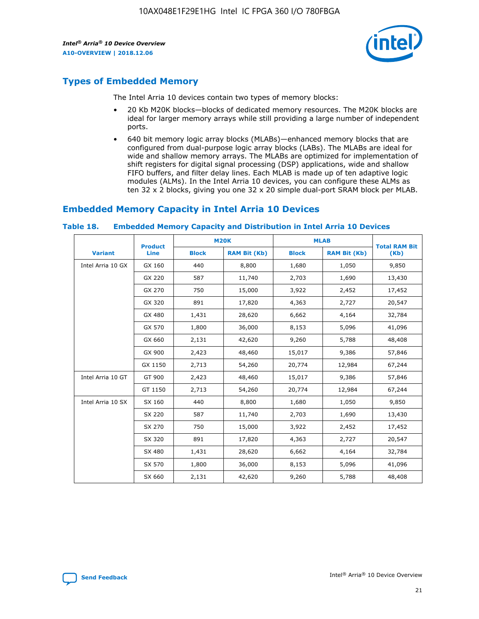

# **Types of Embedded Memory**

The Intel Arria 10 devices contain two types of memory blocks:

- 20 Kb M20K blocks—blocks of dedicated memory resources. The M20K blocks are ideal for larger memory arrays while still providing a large number of independent ports.
- 640 bit memory logic array blocks (MLABs)—enhanced memory blocks that are configured from dual-purpose logic array blocks (LABs). The MLABs are ideal for wide and shallow memory arrays. The MLABs are optimized for implementation of shift registers for digital signal processing (DSP) applications, wide and shallow FIFO buffers, and filter delay lines. Each MLAB is made up of ten adaptive logic modules (ALMs). In the Intel Arria 10 devices, you can configure these ALMs as ten 32 x 2 blocks, giving you one 32 x 20 simple dual-port SRAM block per MLAB.

# **Embedded Memory Capacity in Intel Arria 10 Devices**

|                   | <b>Product</b> |              | <b>M20K</b>         | <b>MLAB</b>  |                     | <b>Total RAM Bit</b> |
|-------------------|----------------|--------------|---------------------|--------------|---------------------|----------------------|
| <b>Variant</b>    | <b>Line</b>    | <b>Block</b> | <b>RAM Bit (Kb)</b> | <b>Block</b> | <b>RAM Bit (Kb)</b> | (Kb)                 |
| Intel Arria 10 GX | GX 160         | 440          | 8,800               | 1,680        | 1,050               | 9,850                |
|                   | GX 220         | 587          | 11,740              | 2,703        | 1,690               | 13,430               |
|                   | GX 270         | 750          | 15,000              | 3,922        | 2,452               | 17,452               |
|                   | GX 320         | 891          | 17,820              | 4,363        | 2,727               | 20,547               |
|                   | GX 480         | 1,431        | 28,620              | 6,662        | 4,164               | 32,784               |
|                   | GX 570         | 1,800        | 36,000              | 8,153        | 5,096               | 41,096               |
|                   | GX 660         | 2,131        | 42,620              | 9,260        | 5,788               | 48,408               |
|                   | GX 900         | 2,423        | 48,460              | 15,017       | 9,386               | 57,846               |
|                   | GX 1150        | 2,713        | 54,260              | 20,774       | 12,984              | 67,244               |
| Intel Arria 10 GT | GT 900         | 2,423        | 48,460              | 15,017       | 9,386               | 57,846               |
|                   | GT 1150        | 2,713        | 54,260              | 20,774       | 12,984              | 67,244               |
| Intel Arria 10 SX | SX 160         | 440          | 8,800               | 1,680        | 1,050               | 9,850                |
|                   | SX 220         | 587          | 11,740              | 2,703        | 1,690               | 13,430               |
|                   | SX 270         | 750          | 15,000              | 3,922        | 2,452               | 17,452               |
|                   | SX 320         | 891          | 17,820              | 4,363        | 2,727               | 20,547               |
|                   | SX 480         | 1,431        | 28,620              | 6,662        | 4,164               | 32,784               |
|                   | SX 570         | 1,800        | 36,000              | 8,153        | 5,096               | 41,096               |
|                   | SX 660         | 2,131        | 42,620              | 9,260        | 5,788               | 48,408               |

#### **Table 18. Embedded Memory Capacity and Distribution in Intel Arria 10 Devices**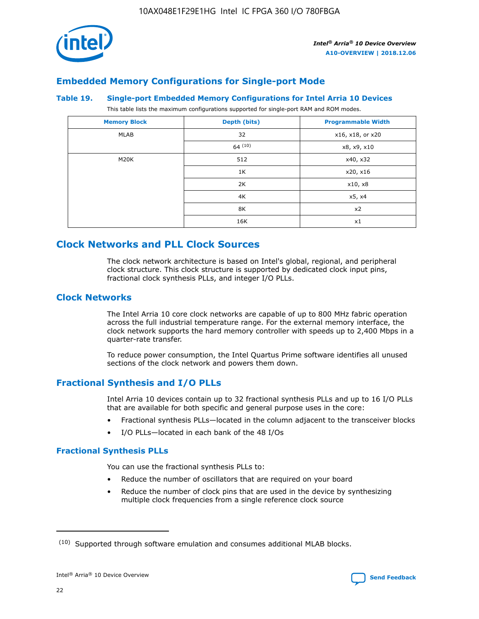

# **Embedded Memory Configurations for Single-port Mode**

#### **Table 19. Single-port Embedded Memory Configurations for Intel Arria 10 Devices**

This table lists the maximum configurations supported for single-port RAM and ROM modes.

| <b>Memory Block</b> | Depth (bits) | <b>Programmable Width</b> |
|---------------------|--------------|---------------------------|
| MLAB                | 32           | x16, x18, or x20          |
|                     | 64(10)       | x8, x9, x10               |
| M20K                | 512          | x40, x32                  |
|                     | 1K           | x20, x16                  |
|                     | 2K           | x10, x8                   |
|                     | 4K           | x5, x4                    |
|                     | 8K           | x2                        |
|                     | 16K          | x1                        |

# **Clock Networks and PLL Clock Sources**

The clock network architecture is based on Intel's global, regional, and peripheral clock structure. This clock structure is supported by dedicated clock input pins, fractional clock synthesis PLLs, and integer I/O PLLs.

## **Clock Networks**

The Intel Arria 10 core clock networks are capable of up to 800 MHz fabric operation across the full industrial temperature range. For the external memory interface, the clock network supports the hard memory controller with speeds up to 2,400 Mbps in a quarter-rate transfer.

To reduce power consumption, the Intel Quartus Prime software identifies all unused sections of the clock network and powers them down.

## **Fractional Synthesis and I/O PLLs**

Intel Arria 10 devices contain up to 32 fractional synthesis PLLs and up to 16 I/O PLLs that are available for both specific and general purpose uses in the core:

- Fractional synthesis PLLs—located in the column adjacent to the transceiver blocks
- I/O PLLs—located in each bank of the 48 I/Os

#### **Fractional Synthesis PLLs**

You can use the fractional synthesis PLLs to:

- Reduce the number of oscillators that are required on your board
- Reduce the number of clock pins that are used in the device by synthesizing multiple clock frequencies from a single reference clock source

<sup>(10)</sup> Supported through software emulation and consumes additional MLAB blocks.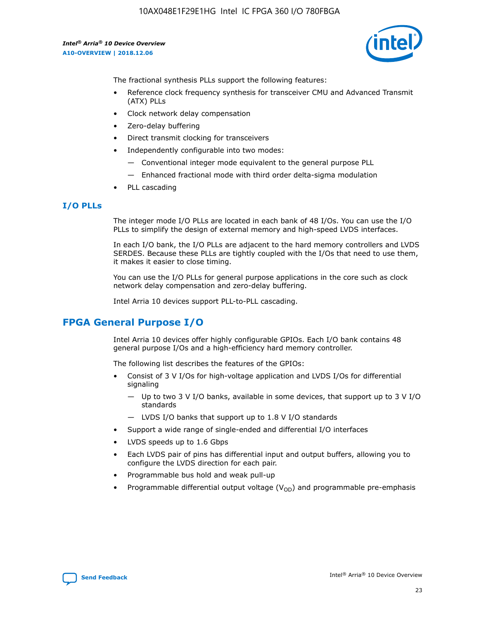10AX048E1F29E1HG Intel IC FPGA 360 I/O 780FBGA

*Intel® Arria® 10 Device Overview* **A10-OVERVIEW | 2018.12.06**



The fractional synthesis PLLs support the following features:

- Reference clock frequency synthesis for transceiver CMU and Advanced Transmit (ATX) PLLs
- Clock network delay compensation
- Zero-delay buffering
- Direct transmit clocking for transceivers
- Independently configurable into two modes:
	- Conventional integer mode equivalent to the general purpose PLL
	- Enhanced fractional mode with third order delta-sigma modulation
- PLL cascading

## **I/O PLLs**

The integer mode I/O PLLs are located in each bank of 48 I/Os. You can use the I/O PLLs to simplify the design of external memory and high-speed LVDS interfaces.

In each I/O bank, the I/O PLLs are adjacent to the hard memory controllers and LVDS SERDES. Because these PLLs are tightly coupled with the I/Os that need to use them, it makes it easier to close timing.

You can use the I/O PLLs for general purpose applications in the core such as clock network delay compensation and zero-delay buffering.

Intel Arria 10 devices support PLL-to-PLL cascading.

# **FPGA General Purpose I/O**

Intel Arria 10 devices offer highly configurable GPIOs. Each I/O bank contains 48 general purpose I/Os and a high-efficiency hard memory controller.

The following list describes the features of the GPIOs:

- Consist of 3 V I/Os for high-voltage application and LVDS I/Os for differential signaling
	- Up to two 3 V I/O banks, available in some devices, that support up to 3 V I/O standards
	- LVDS I/O banks that support up to 1.8 V I/O standards
- Support a wide range of single-ended and differential I/O interfaces
- LVDS speeds up to 1.6 Gbps
- Each LVDS pair of pins has differential input and output buffers, allowing you to configure the LVDS direction for each pair.
- Programmable bus hold and weak pull-up
- Programmable differential output voltage  $(V_{OD})$  and programmable pre-emphasis

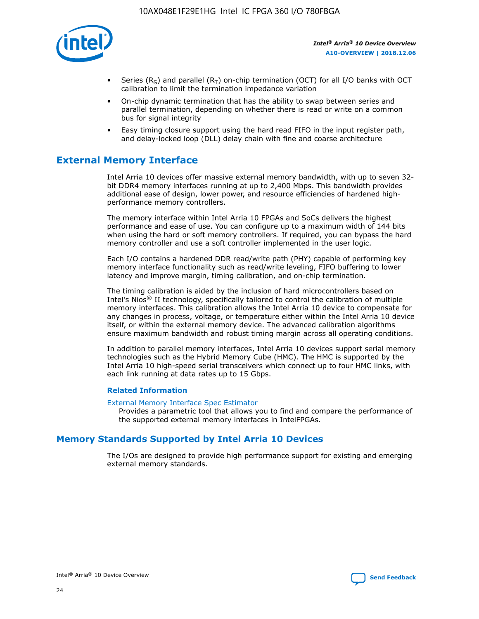

- Series (R<sub>S</sub>) and parallel (R<sub>T</sub>) on-chip termination (OCT) for all I/O banks with OCT calibration to limit the termination impedance variation
- On-chip dynamic termination that has the ability to swap between series and parallel termination, depending on whether there is read or write on a common bus for signal integrity
- Easy timing closure support using the hard read FIFO in the input register path, and delay-locked loop (DLL) delay chain with fine and coarse architecture

# **External Memory Interface**

Intel Arria 10 devices offer massive external memory bandwidth, with up to seven 32 bit DDR4 memory interfaces running at up to 2,400 Mbps. This bandwidth provides additional ease of design, lower power, and resource efficiencies of hardened highperformance memory controllers.

The memory interface within Intel Arria 10 FPGAs and SoCs delivers the highest performance and ease of use. You can configure up to a maximum width of 144 bits when using the hard or soft memory controllers. If required, you can bypass the hard memory controller and use a soft controller implemented in the user logic.

Each I/O contains a hardened DDR read/write path (PHY) capable of performing key memory interface functionality such as read/write leveling, FIFO buffering to lower latency and improve margin, timing calibration, and on-chip termination.

The timing calibration is aided by the inclusion of hard microcontrollers based on Intel's Nios® II technology, specifically tailored to control the calibration of multiple memory interfaces. This calibration allows the Intel Arria 10 device to compensate for any changes in process, voltage, or temperature either within the Intel Arria 10 device itself, or within the external memory device. The advanced calibration algorithms ensure maximum bandwidth and robust timing margin across all operating conditions.

In addition to parallel memory interfaces, Intel Arria 10 devices support serial memory technologies such as the Hybrid Memory Cube (HMC). The HMC is supported by the Intel Arria 10 high-speed serial transceivers which connect up to four HMC links, with each link running at data rates up to 15 Gbps.

#### **Related Information**

#### [External Memory Interface Spec Estimator](http://www.altera.com/technology/memory/estimator/mem-emif-index.html)

Provides a parametric tool that allows you to find and compare the performance of the supported external memory interfaces in IntelFPGAs.

# **Memory Standards Supported by Intel Arria 10 Devices**

The I/Os are designed to provide high performance support for existing and emerging external memory standards.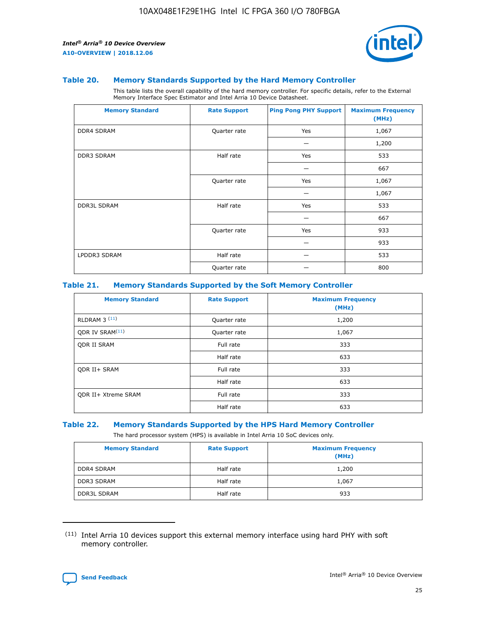

#### **Table 20. Memory Standards Supported by the Hard Memory Controller**

This table lists the overall capability of the hard memory controller. For specific details, refer to the External Memory Interface Spec Estimator and Intel Arria 10 Device Datasheet.

| <b>Memory Standard</b> | <b>Rate Support</b> | <b>Ping Pong PHY Support</b> | <b>Maximum Frequency</b><br>(MHz) |
|------------------------|---------------------|------------------------------|-----------------------------------|
| <b>DDR4 SDRAM</b>      | Quarter rate        | Yes                          | 1,067                             |
|                        |                     |                              | 1,200                             |
| DDR3 SDRAM             | Half rate           | Yes                          | 533                               |
|                        |                     |                              | 667                               |
|                        | Quarter rate        | Yes                          | 1,067                             |
|                        |                     |                              | 1,067                             |
| <b>DDR3L SDRAM</b>     | Half rate           | Yes                          | 533                               |
|                        |                     |                              | 667                               |
|                        | Quarter rate        | Yes                          | 933                               |
|                        |                     |                              | 933                               |
| LPDDR3 SDRAM           | Half rate           |                              | 533                               |
|                        | Quarter rate        |                              | 800                               |

#### **Table 21. Memory Standards Supported by the Soft Memory Controller**

| <b>Memory Standard</b>      | <b>Rate Support</b> | <b>Maximum Frequency</b><br>(MHz) |
|-----------------------------|---------------------|-----------------------------------|
| <b>RLDRAM 3 (11)</b>        | Quarter rate        | 1,200                             |
| ODR IV SRAM <sup>(11)</sup> | Quarter rate        | 1,067                             |
| <b>ODR II SRAM</b>          | Full rate           | 333                               |
|                             | Half rate           | 633                               |
| <b>ODR II+ SRAM</b>         | Full rate           | 333                               |
|                             | Half rate           | 633                               |
| <b>ODR II+ Xtreme SRAM</b>  | Full rate           | 333                               |
|                             | Half rate           | 633                               |

#### **Table 22. Memory Standards Supported by the HPS Hard Memory Controller**

The hard processor system (HPS) is available in Intel Arria 10 SoC devices only.

| <b>Memory Standard</b> | <b>Rate Support</b> | <b>Maximum Frequency</b><br>(MHz) |
|------------------------|---------------------|-----------------------------------|
| <b>DDR4 SDRAM</b>      | Half rate           | 1,200                             |
| <b>DDR3 SDRAM</b>      | Half rate           | 1,067                             |
| <b>DDR3L SDRAM</b>     | Half rate           | 933                               |

<sup>(11)</sup> Intel Arria 10 devices support this external memory interface using hard PHY with soft memory controller.

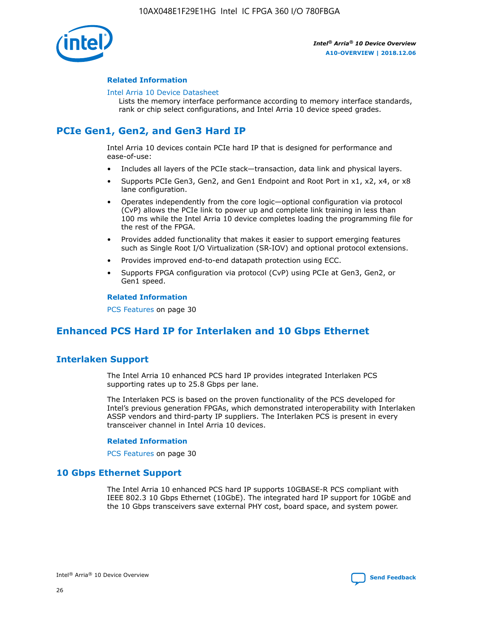

#### **Related Information**

#### [Intel Arria 10 Device Datasheet](https://www.intel.com/content/www/us/en/programmable/documentation/mcn1413182292568.html#mcn1413182153340)

Lists the memory interface performance according to memory interface standards, rank or chip select configurations, and Intel Arria 10 device speed grades.

# **PCIe Gen1, Gen2, and Gen3 Hard IP**

Intel Arria 10 devices contain PCIe hard IP that is designed for performance and ease-of-use:

- Includes all layers of the PCIe stack—transaction, data link and physical layers.
- Supports PCIe Gen3, Gen2, and Gen1 Endpoint and Root Port in x1, x2, x4, or x8 lane configuration.
- Operates independently from the core logic—optional configuration via protocol (CvP) allows the PCIe link to power up and complete link training in less than 100 ms while the Intel Arria 10 device completes loading the programming file for the rest of the FPGA.
- Provides added functionality that makes it easier to support emerging features such as Single Root I/O Virtualization (SR-IOV) and optional protocol extensions.
- Provides improved end-to-end datapath protection using ECC.
- Supports FPGA configuration via protocol (CvP) using PCIe at Gen3, Gen2, or Gen1 speed.

#### **Related Information**

PCS Features on page 30

# **Enhanced PCS Hard IP for Interlaken and 10 Gbps Ethernet**

# **Interlaken Support**

The Intel Arria 10 enhanced PCS hard IP provides integrated Interlaken PCS supporting rates up to 25.8 Gbps per lane.

The Interlaken PCS is based on the proven functionality of the PCS developed for Intel's previous generation FPGAs, which demonstrated interoperability with Interlaken ASSP vendors and third-party IP suppliers. The Interlaken PCS is present in every transceiver channel in Intel Arria 10 devices.

#### **Related Information**

PCS Features on page 30

## **10 Gbps Ethernet Support**

The Intel Arria 10 enhanced PCS hard IP supports 10GBASE-R PCS compliant with IEEE 802.3 10 Gbps Ethernet (10GbE). The integrated hard IP support for 10GbE and the 10 Gbps transceivers save external PHY cost, board space, and system power.

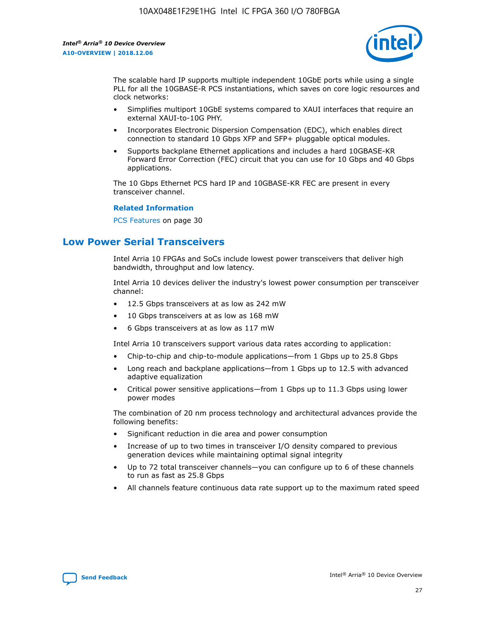

The scalable hard IP supports multiple independent 10GbE ports while using a single PLL for all the 10GBASE-R PCS instantiations, which saves on core logic resources and clock networks:

- Simplifies multiport 10GbE systems compared to XAUI interfaces that require an external XAUI-to-10G PHY.
- Incorporates Electronic Dispersion Compensation (EDC), which enables direct connection to standard 10 Gbps XFP and SFP+ pluggable optical modules.
- Supports backplane Ethernet applications and includes a hard 10GBASE-KR Forward Error Correction (FEC) circuit that you can use for 10 Gbps and 40 Gbps applications.

The 10 Gbps Ethernet PCS hard IP and 10GBASE-KR FEC are present in every transceiver channel.

#### **Related Information**

PCS Features on page 30

# **Low Power Serial Transceivers**

Intel Arria 10 FPGAs and SoCs include lowest power transceivers that deliver high bandwidth, throughput and low latency.

Intel Arria 10 devices deliver the industry's lowest power consumption per transceiver channel:

- 12.5 Gbps transceivers at as low as 242 mW
- 10 Gbps transceivers at as low as 168 mW
- 6 Gbps transceivers at as low as 117 mW

Intel Arria 10 transceivers support various data rates according to application:

- Chip-to-chip and chip-to-module applications—from 1 Gbps up to 25.8 Gbps
- Long reach and backplane applications—from 1 Gbps up to 12.5 with advanced adaptive equalization
- Critical power sensitive applications—from 1 Gbps up to 11.3 Gbps using lower power modes

The combination of 20 nm process technology and architectural advances provide the following benefits:

- Significant reduction in die area and power consumption
- Increase of up to two times in transceiver I/O density compared to previous generation devices while maintaining optimal signal integrity
- Up to 72 total transceiver channels—you can configure up to 6 of these channels to run as fast as 25.8 Gbps
- All channels feature continuous data rate support up to the maximum rated speed

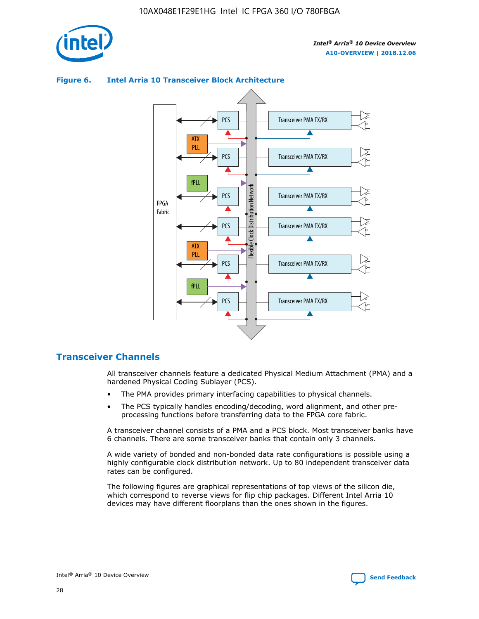



## **Figure 6. Intel Arria 10 Transceiver Block Architecture**

# **Transceiver Channels**

All transceiver channels feature a dedicated Physical Medium Attachment (PMA) and a hardened Physical Coding Sublayer (PCS).

- The PMA provides primary interfacing capabilities to physical channels.
- The PCS typically handles encoding/decoding, word alignment, and other preprocessing functions before transferring data to the FPGA core fabric.

A transceiver channel consists of a PMA and a PCS block. Most transceiver banks have 6 channels. There are some transceiver banks that contain only 3 channels.

A wide variety of bonded and non-bonded data rate configurations is possible using a highly configurable clock distribution network. Up to 80 independent transceiver data rates can be configured.

The following figures are graphical representations of top views of the silicon die, which correspond to reverse views for flip chip packages. Different Intel Arria 10 devices may have different floorplans than the ones shown in the figures.

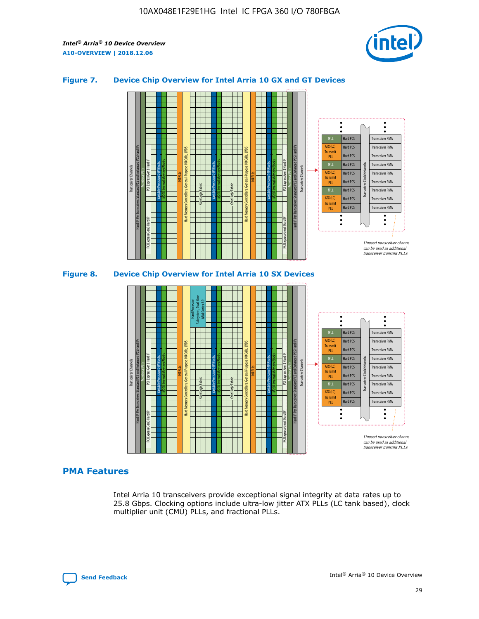

## **Figure 7. Device Chip Overview for Intel Arria 10 GX and GT Devices**





## **PMA Features**

Intel Arria 10 transceivers provide exceptional signal integrity at data rates up to 25.8 Gbps. Clocking options include ultra-low jitter ATX PLLs (LC tank based), clock multiplier unit (CMU) PLLs, and fractional PLLs.

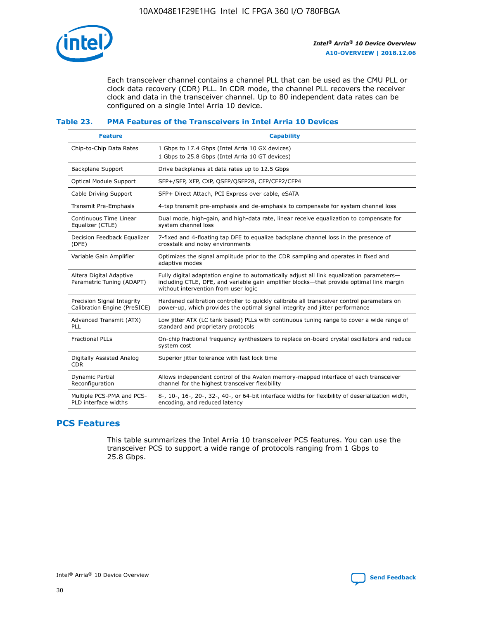

Each transceiver channel contains a channel PLL that can be used as the CMU PLL or clock data recovery (CDR) PLL. In CDR mode, the channel PLL recovers the receiver clock and data in the transceiver channel. Up to 80 independent data rates can be configured on a single Intel Arria 10 device.

## **Table 23. PMA Features of the Transceivers in Intel Arria 10 Devices**

| <b>Feature</b>                                             | <b>Capability</b>                                                                                                                                                                                                             |
|------------------------------------------------------------|-------------------------------------------------------------------------------------------------------------------------------------------------------------------------------------------------------------------------------|
| Chip-to-Chip Data Rates                                    | 1 Gbps to 17.4 Gbps (Intel Arria 10 GX devices)<br>1 Gbps to 25.8 Gbps (Intel Arria 10 GT devices)                                                                                                                            |
| Backplane Support                                          | Drive backplanes at data rates up to 12.5 Gbps                                                                                                                                                                                |
| <b>Optical Module Support</b>                              | SFP+/SFP, XFP, CXP, QSFP/QSFP28, CFP/CFP2/CFP4                                                                                                                                                                                |
| Cable Driving Support                                      | SFP+ Direct Attach, PCI Express over cable, eSATA                                                                                                                                                                             |
| Transmit Pre-Emphasis                                      | 4-tap transmit pre-emphasis and de-emphasis to compensate for system channel loss                                                                                                                                             |
| Continuous Time Linear<br>Equalizer (CTLE)                 | Dual mode, high-gain, and high-data rate, linear receive equalization to compensate for<br>system channel loss                                                                                                                |
| Decision Feedback Equalizer<br>(DFE)                       | 7-fixed and 4-floating tap DFE to equalize backplane channel loss in the presence of<br>crosstalk and noisy environments                                                                                                      |
| Variable Gain Amplifier                                    | Optimizes the signal amplitude prior to the CDR sampling and operates in fixed and<br>adaptive modes                                                                                                                          |
| Altera Digital Adaptive<br>Parametric Tuning (ADAPT)       | Fully digital adaptation engine to automatically adjust all link equalization parameters-<br>including CTLE, DFE, and variable gain amplifier blocks—that provide optimal link margin<br>without intervention from user logic |
| Precision Signal Integrity<br>Calibration Engine (PreSICE) | Hardened calibration controller to quickly calibrate all transceiver control parameters on<br>power-up, which provides the optimal signal integrity and jitter performance                                                    |
| Advanced Transmit (ATX)<br>PLL                             | Low jitter ATX (LC tank based) PLLs with continuous tuning range to cover a wide range of<br>standard and proprietary protocols                                                                                               |
| <b>Fractional PLLs</b>                                     | On-chip fractional frequency synthesizers to replace on-board crystal oscillators and reduce<br>system cost                                                                                                                   |
| Digitally Assisted Analog<br><b>CDR</b>                    | Superior jitter tolerance with fast lock time                                                                                                                                                                                 |
| <b>Dynamic Partial</b><br>Reconfiguration                  | Allows independent control of the Avalon memory-mapped interface of each transceiver<br>channel for the highest transceiver flexibility                                                                                       |
| Multiple PCS-PMA and PCS-<br>PLD interface widths          | 8-, 10-, 16-, 20-, 32-, 40-, or 64-bit interface widths for flexibility of deserialization width,<br>encoding, and reduced latency                                                                                            |

# **PCS Features**

This table summarizes the Intel Arria 10 transceiver PCS features. You can use the transceiver PCS to support a wide range of protocols ranging from 1 Gbps to 25.8 Gbps.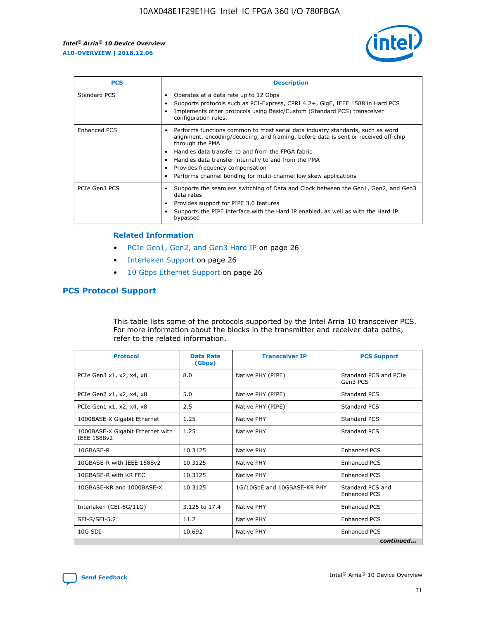

| <b>PCS</b>          | <b>Description</b>                                                                                                                                                                                                                                                                                                                                                                                             |
|---------------------|----------------------------------------------------------------------------------------------------------------------------------------------------------------------------------------------------------------------------------------------------------------------------------------------------------------------------------------------------------------------------------------------------------------|
| Standard PCS        | Operates at a data rate up to 12 Gbps<br>Supports protocols such as PCI-Express, CPRI 4.2+, GigE, IEEE 1588 in Hard PCS<br>Implements other protocols using Basic/Custom (Standard PCS) transceiver<br>configuration rules.                                                                                                                                                                                    |
| <b>Enhanced PCS</b> | Performs functions common to most serial data industry standards, such as word<br>alignment, encoding/decoding, and framing, before data is sent or received off-chip<br>through the PMA<br>• Handles data transfer to and from the FPGA fabric<br>Handles data transfer internally to and from the PMA<br>Provides frequency compensation<br>Performs channel bonding for multi-channel low skew applications |
| PCIe Gen3 PCS       | Supports the seamless switching of Data and Clock between the Gen1, Gen2, and Gen3<br>data rates<br>Provides support for PIPE 3.0 features<br>Supports the PIPE interface with the Hard IP enabled, as well as with the Hard IP<br>bypassed                                                                                                                                                                    |

#### **Related Information**

- PCIe Gen1, Gen2, and Gen3 Hard IP on page 26
- Interlaken Support on page 26
- 10 Gbps Ethernet Support on page 26

# **PCS Protocol Support**

This table lists some of the protocols supported by the Intel Arria 10 transceiver PCS. For more information about the blocks in the transmitter and receiver data paths, refer to the related information.

| <b>Protocol</b>                                 | <b>Data Rate</b><br>(Gbps) | <b>Transceiver IP</b>       | <b>PCS Support</b>                      |
|-------------------------------------------------|----------------------------|-----------------------------|-----------------------------------------|
| PCIe Gen3 x1, x2, x4, x8                        | 8.0                        | Native PHY (PIPE)           | Standard PCS and PCIe<br>Gen3 PCS       |
| PCIe Gen2 x1, x2, x4, x8                        | 5.0                        | Native PHY (PIPE)           | <b>Standard PCS</b>                     |
| PCIe Gen1 x1, x2, x4, x8                        | 2.5                        | Native PHY (PIPE)           | Standard PCS                            |
| 1000BASE-X Gigabit Ethernet                     | 1.25                       | Native PHY                  | <b>Standard PCS</b>                     |
| 1000BASE-X Gigabit Ethernet with<br>IEEE 1588v2 | 1.25                       | Native PHY                  | Standard PCS                            |
| 10GBASE-R                                       | 10.3125                    | Native PHY                  | <b>Enhanced PCS</b>                     |
| 10GBASE-R with IEEE 1588v2                      | 10.3125                    | Native PHY                  | <b>Enhanced PCS</b>                     |
| 10GBASE-R with KR FEC                           | 10.3125                    | Native PHY                  | <b>Enhanced PCS</b>                     |
| 10GBASE-KR and 1000BASE-X                       | 10.3125                    | 1G/10GbE and 10GBASE-KR PHY | Standard PCS and<br><b>Enhanced PCS</b> |
| Interlaken (CEI-6G/11G)                         | 3.125 to 17.4              | Native PHY                  | <b>Enhanced PCS</b>                     |
| SFI-S/SFI-5.2                                   | 11.2                       | Native PHY                  | <b>Enhanced PCS</b>                     |
| $10G$ SDI                                       | 10.692                     | Native PHY                  | <b>Enhanced PCS</b>                     |
|                                                 |                            |                             | continued                               |

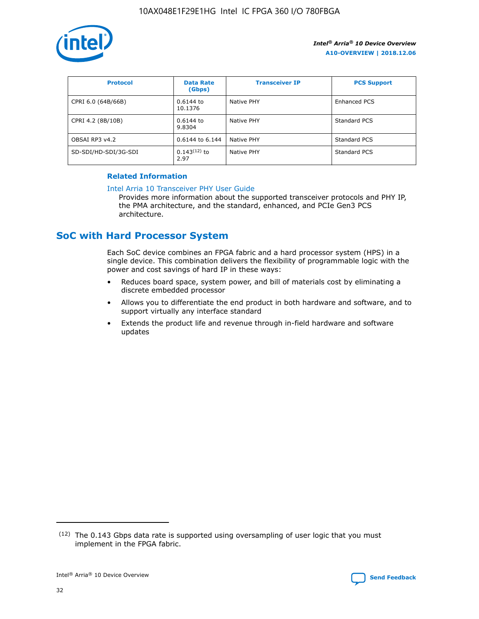

| <b>Protocol</b>      | <b>Data Rate</b><br>(Gbps) | <b>Transceiver IP</b> | <b>PCS Support</b> |
|----------------------|----------------------------|-----------------------|--------------------|
| CPRI 6.0 (64B/66B)   | 0.6144 to<br>10.1376       | Native PHY            | Enhanced PCS       |
| CPRI 4.2 (8B/10B)    | 0.6144 to<br>9.8304        | Native PHY            | Standard PCS       |
| OBSAI RP3 v4.2       | 0.6144 to 6.144            | Native PHY            | Standard PCS       |
| SD-SDI/HD-SDI/3G-SDI | $0.143(12)$ to<br>2.97     | Native PHY            | Standard PCS       |

## **Related Information**

#### [Intel Arria 10 Transceiver PHY User Guide](https://www.intel.com/content/www/us/en/programmable/documentation/nik1398707230472.html#nik1398707091164)

Provides more information about the supported transceiver protocols and PHY IP, the PMA architecture, and the standard, enhanced, and PCIe Gen3 PCS architecture.

# **SoC with Hard Processor System**

Each SoC device combines an FPGA fabric and a hard processor system (HPS) in a single device. This combination delivers the flexibility of programmable logic with the power and cost savings of hard IP in these ways:

- Reduces board space, system power, and bill of materials cost by eliminating a discrete embedded processor
- Allows you to differentiate the end product in both hardware and software, and to support virtually any interface standard
- Extends the product life and revenue through in-field hardware and software updates

 $(12)$  The 0.143 Gbps data rate is supported using oversampling of user logic that you must implement in the FPGA fabric.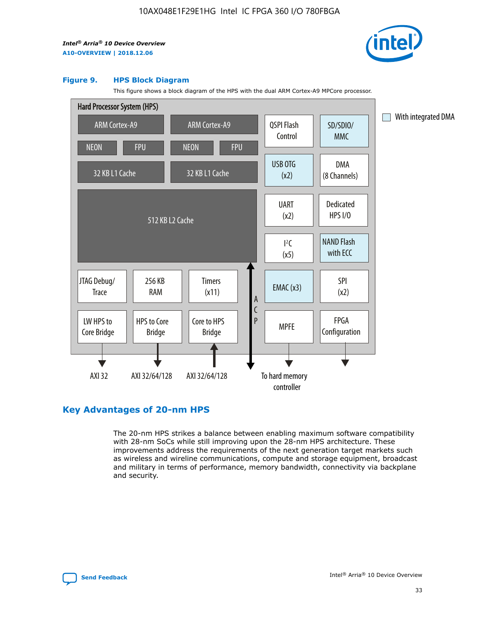

#### **Figure 9. HPS Block Diagram**

This figure shows a block diagram of the HPS with the dual ARM Cortex-A9 MPCore processor.



# **Key Advantages of 20-nm HPS**

The 20-nm HPS strikes a balance between enabling maximum software compatibility with 28-nm SoCs while still improving upon the 28-nm HPS architecture. These improvements address the requirements of the next generation target markets such as wireless and wireline communications, compute and storage equipment, broadcast and military in terms of performance, memory bandwidth, connectivity via backplane and security.

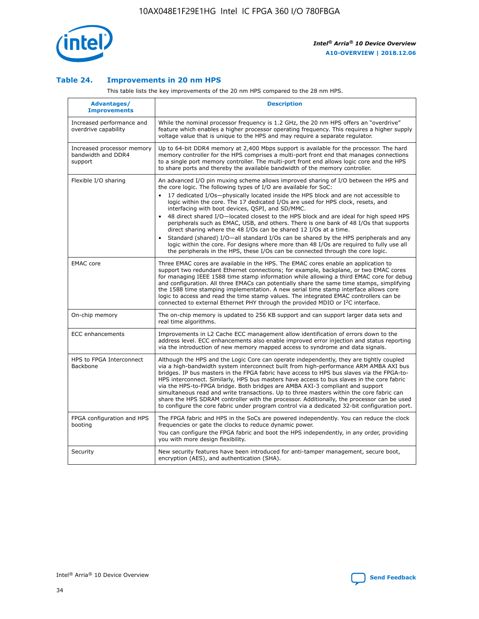

## **Table 24. Improvements in 20 nm HPS**

This table lists the key improvements of the 20 nm HPS compared to the 28 nm HPS.

| Advantages/<br><b>Improvements</b>                          | <b>Description</b>                                                                                                                                                                                                                                                                                                                                                                                                                                                                                                                                                                                                                                                                                                                                                                                                                                                                                                                                |
|-------------------------------------------------------------|---------------------------------------------------------------------------------------------------------------------------------------------------------------------------------------------------------------------------------------------------------------------------------------------------------------------------------------------------------------------------------------------------------------------------------------------------------------------------------------------------------------------------------------------------------------------------------------------------------------------------------------------------------------------------------------------------------------------------------------------------------------------------------------------------------------------------------------------------------------------------------------------------------------------------------------------------|
| Increased performance and<br>overdrive capability           | While the nominal processor frequency is 1.2 GHz, the 20 nm HPS offers an "overdrive"<br>feature which enables a higher processor operating frequency. This requires a higher supply<br>voltage value that is unique to the HPS and may require a separate regulator.                                                                                                                                                                                                                                                                                                                                                                                                                                                                                                                                                                                                                                                                             |
| Increased processor memory<br>bandwidth and DDR4<br>support | Up to 64-bit DDR4 memory at 2,400 Mbps support is available for the processor. The hard<br>memory controller for the HPS comprises a multi-port front end that manages connections<br>to a single port memory controller. The multi-port front end allows logic core and the HPS<br>to share ports and thereby the available bandwidth of the memory controller.                                                                                                                                                                                                                                                                                                                                                                                                                                                                                                                                                                                  |
| Flexible I/O sharing                                        | An advanced I/O pin muxing scheme allows improved sharing of I/O between the HPS and<br>the core logic. The following types of I/O are available for SoC:<br>$\bullet$<br>17 dedicated I/Os-physically located inside the HPS block and are not accessible to<br>logic within the core. The 17 dedicated I/Os are used for HPS clock, resets, and<br>interfacing with boot devices, QSPI, and SD/MMC.<br>48 direct shared I/O-located closest to the HPS block and are ideal for high speed HPS<br>$\bullet$<br>peripherals such as EMAC, USB, and others. There is one bank of 48 I/Os that supports<br>direct sharing where the 48 I/Os can be shared 12 I/Os at a time.<br>Standard (shared) I/O-all standard I/Os can be shared by the HPS peripherals and any<br>logic within the core. For designs where more than 48 I/Os are required to fully use all<br>the peripherals in the HPS, these I/Os can be connected through the core logic. |
| <b>EMAC</b> core                                            | Three EMAC cores are available in the HPS. The EMAC cores enable an application to<br>support two redundant Ethernet connections; for example, backplane, or two EMAC cores<br>for managing IEEE 1588 time stamp information while allowing a third EMAC core for debug<br>and configuration. All three EMACs can potentially share the same time stamps, simplifying<br>the 1588 time stamping implementation. A new serial time stamp interface allows core<br>logic to access and read the time stamp values. The integrated EMAC controllers can be<br>connected to external Ethernet PHY through the provided MDIO or I <sup>2</sup> C interface.                                                                                                                                                                                                                                                                                            |
| On-chip memory                                              | The on-chip memory is updated to 256 KB support and can support larger data sets and<br>real time algorithms.                                                                                                                                                                                                                                                                                                                                                                                                                                                                                                                                                                                                                                                                                                                                                                                                                                     |
| <b>ECC</b> enhancements                                     | Improvements in L2 Cache ECC management allow identification of errors down to the<br>address level. ECC enhancements also enable improved error injection and status reporting<br>via the introduction of new memory mapped access to syndrome and data signals.                                                                                                                                                                                                                                                                                                                                                                                                                                                                                                                                                                                                                                                                                 |
| HPS to FPGA Interconnect<br>Backbone                        | Although the HPS and the Logic Core can operate independently, they are tightly coupled<br>via a high-bandwidth system interconnect built from high-performance ARM AMBA AXI bus<br>bridges. IP bus masters in the FPGA fabric have access to HPS bus slaves via the FPGA-to-<br>HPS interconnect. Similarly, HPS bus masters have access to bus slaves in the core fabric<br>via the HPS-to-FPGA bridge. Both bridges are AMBA AXI-3 compliant and support<br>simultaneous read and write transactions. Up to three masters within the core fabric can<br>share the HPS SDRAM controller with the processor. Additionally, the processor can be used<br>to configure the core fabric under program control via a dedicated 32-bit configuration port.                                                                                                                                                                                            |
| FPGA configuration and HPS<br>booting                       | The FPGA fabric and HPS in the SoCs are powered independently. You can reduce the clock<br>frequencies or gate the clocks to reduce dynamic power.<br>You can configure the FPGA fabric and boot the HPS independently, in any order, providing<br>you with more design flexibility.                                                                                                                                                                                                                                                                                                                                                                                                                                                                                                                                                                                                                                                              |
| Security                                                    | New security features have been introduced for anti-tamper management, secure boot,<br>encryption (AES), and authentication (SHA).                                                                                                                                                                                                                                                                                                                                                                                                                                                                                                                                                                                                                                                                                                                                                                                                                |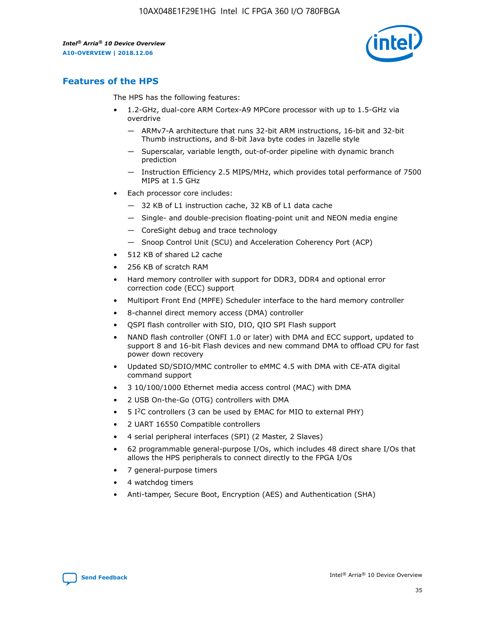

# **Features of the HPS**

The HPS has the following features:

- 1.2-GHz, dual-core ARM Cortex-A9 MPCore processor with up to 1.5-GHz via overdrive
	- ARMv7-A architecture that runs 32-bit ARM instructions, 16-bit and 32-bit Thumb instructions, and 8-bit Java byte codes in Jazelle style
	- Superscalar, variable length, out-of-order pipeline with dynamic branch prediction
	- Instruction Efficiency 2.5 MIPS/MHz, which provides total performance of 7500 MIPS at 1.5 GHz
- Each processor core includes:
	- 32 KB of L1 instruction cache, 32 KB of L1 data cache
	- Single- and double-precision floating-point unit and NEON media engine
	- CoreSight debug and trace technology
	- Snoop Control Unit (SCU) and Acceleration Coherency Port (ACP)
- 512 KB of shared L2 cache
- 256 KB of scratch RAM
- Hard memory controller with support for DDR3, DDR4 and optional error correction code (ECC) support
- Multiport Front End (MPFE) Scheduler interface to the hard memory controller
- 8-channel direct memory access (DMA) controller
- QSPI flash controller with SIO, DIO, QIO SPI Flash support
- NAND flash controller (ONFI 1.0 or later) with DMA and ECC support, updated to support 8 and 16-bit Flash devices and new command DMA to offload CPU for fast power down recovery
- Updated SD/SDIO/MMC controller to eMMC 4.5 with DMA with CE-ATA digital command support
- 3 10/100/1000 Ethernet media access control (MAC) with DMA
- 2 USB On-the-Go (OTG) controllers with DMA
- $\bullet$  5 I<sup>2</sup>C controllers (3 can be used by EMAC for MIO to external PHY)
- 2 UART 16550 Compatible controllers
- 4 serial peripheral interfaces (SPI) (2 Master, 2 Slaves)
- 62 programmable general-purpose I/Os, which includes 48 direct share I/Os that allows the HPS peripherals to connect directly to the FPGA I/Os
- 7 general-purpose timers
- 4 watchdog timers
- Anti-tamper, Secure Boot, Encryption (AES) and Authentication (SHA)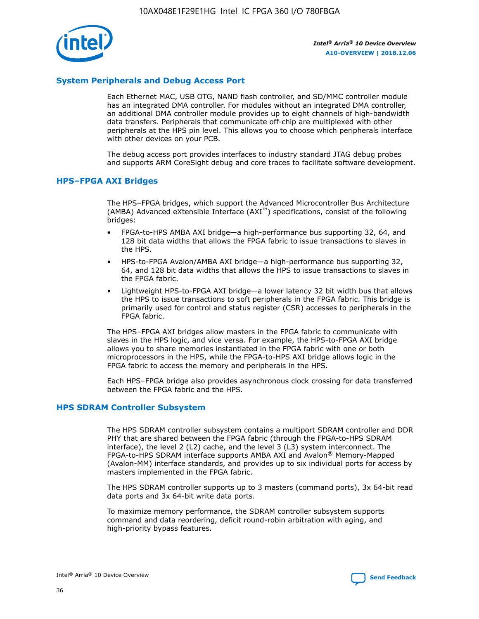

## **System Peripherals and Debug Access Port**

Each Ethernet MAC, USB OTG, NAND flash controller, and SD/MMC controller module has an integrated DMA controller. For modules without an integrated DMA controller, an additional DMA controller module provides up to eight channels of high-bandwidth data transfers. Peripherals that communicate off-chip are multiplexed with other peripherals at the HPS pin level. This allows you to choose which peripherals interface with other devices on your PCB.

The debug access port provides interfaces to industry standard JTAG debug probes and supports ARM CoreSight debug and core traces to facilitate software development.

## **HPS–FPGA AXI Bridges**

The HPS–FPGA bridges, which support the Advanced Microcontroller Bus Architecture (AMBA) Advanced eXtensible Interface (AXI™) specifications, consist of the following bridges:

- FPGA-to-HPS AMBA AXI bridge—a high-performance bus supporting 32, 64, and 128 bit data widths that allows the FPGA fabric to issue transactions to slaves in the HPS.
- HPS-to-FPGA Avalon/AMBA AXI bridge—a high-performance bus supporting 32, 64, and 128 bit data widths that allows the HPS to issue transactions to slaves in the FPGA fabric.
- Lightweight HPS-to-FPGA AXI bridge—a lower latency 32 bit width bus that allows the HPS to issue transactions to soft peripherals in the FPGA fabric. This bridge is primarily used for control and status register (CSR) accesses to peripherals in the FPGA fabric.

The HPS–FPGA AXI bridges allow masters in the FPGA fabric to communicate with slaves in the HPS logic, and vice versa. For example, the HPS-to-FPGA AXI bridge allows you to share memories instantiated in the FPGA fabric with one or both microprocessors in the HPS, while the FPGA-to-HPS AXI bridge allows logic in the FPGA fabric to access the memory and peripherals in the HPS.

Each HPS–FPGA bridge also provides asynchronous clock crossing for data transferred between the FPGA fabric and the HPS.

#### **HPS SDRAM Controller Subsystem**

The HPS SDRAM controller subsystem contains a multiport SDRAM controller and DDR PHY that are shared between the FPGA fabric (through the FPGA-to-HPS SDRAM interface), the level 2 (L2) cache, and the level 3 (L3) system interconnect. The FPGA-to-HPS SDRAM interface supports AMBA AXI and Avalon® Memory-Mapped (Avalon-MM) interface standards, and provides up to six individual ports for access by masters implemented in the FPGA fabric.

The HPS SDRAM controller supports up to 3 masters (command ports), 3x 64-bit read data ports and 3x 64-bit write data ports.

To maximize memory performance, the SDRAM controller subsystem supports command and data reordering, deficit round-robin arbitration with aging, and high-priority bypass features.

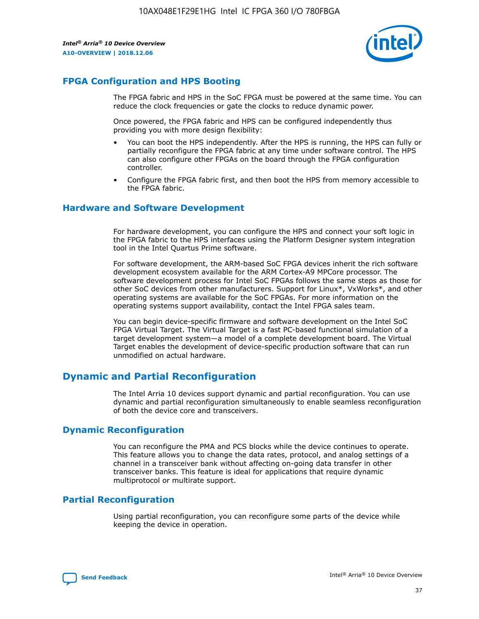

# **FPGA Configuration and HPS Booting**

The FPGA fabric and HPS in the SoC FPGA must be powered at the same time. You can reduce the clock frequencies or gate the clocks to reduce dynamic power.

Once powered, the FPGA fabric and HPS can be configured independently thus providing you with more design flexibility:

- You can boot the HPS independently. After the HPS is running, the HPS can fully or partially reconfigure the FPGA fabric at any time under software control. The HPS can also configure other FPGAs on the board through the FPGA configuration controller.
- Configure the FPGA fabric first, and then boot the HPS from memory accessible to the FPGA fabric.

## **Hardware and Software Development**

For hardware development, you can configure the HPS and connect your soft logic in the FPGA fabric to the HPS interfaces using the Platform Designer system integration tool in the Intel Quartus Prime software.

For software development, the ARM-based SoC FPGA devices inherit the rich software development ecosystem available for the ARM Cortex-A9 MPCore processor. The software development process for Intel SoC FPGAs follows the same steps as those for other SoC devices from other manufacturers. Support for Linux\*, VxWorks\*, and other operating systems are available for the SoC FPGAs. For more information on the operating systems support availability, contact the Intel FPGA sales team.

You can begin device-specific firmware and software development on the Intel SoC FPGA Virtual Target. The Virtual Target is a fast PC-based functional simulation of a target development system—a model of a complete development board. The Virtual Target enables the development of device-specific production software that can run unmodified on actual hardware.

# **Dynamic and Partial Reconfiguration**

The Intel Arria 10 devices support dynamic and partial reconfiguration. You can use dynamic and partial reconfiguration simultaneously to enable seamless reconfiguration of both the device core and transceivers.

# **Dynamic Reconfiguration**

You can reconfigure the PMA and PCS blocks while the device continues to operate. This feature allows you to change the data rates, protocol, and analog settings of a channel in a transceiver bank without affecting on-going data transfer in other transceiver banks. This feature is ideal for applications that require dynamic multiprotocol or multirate support.

# **Partial Reconfiguration**

Using partial reconfiguration, you can reconfigure some parts of the device while keeping the device in operation.

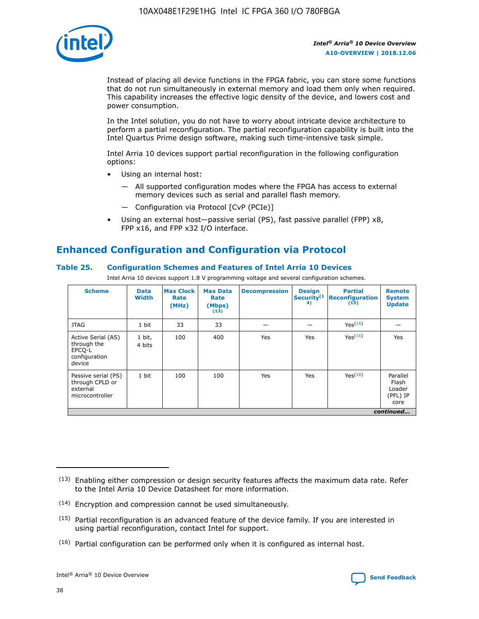

Instead of placing all device functions in the FPGA fabric, you can store some functions that do not run simultaneously in external memory and load them only when required. This capability increases the effective logic density of the device, and lowers cost and power consumption.

In the Intel solution, you do not have to worry about intricate device architecture to perform a partial reconfiguration. The partial reconfiguration capability is built into the Intel Quartus Prime design software, making such time-intensive task simple.

Intel Arria 10 devices support partial reconfiguration in the following configuration options:

- Using an internal host:
	- All supported configuration modes where the FPGA has access to external memory devices such as serial and parallel flash memory.
	- Configuration via Protocol [CvP (PCIe)]
- Using an external host—passive serial (PS), fast passive parallel (FPP) x8, FPP x16, and FPP x32 I/O interface.

# **Enhanced Configuration and Configuration via Protocol**

## **Table 25. Configuration Schemes and Features of Intel Arria 10 Devices**

Intel Arria 10 devices support 1.8 V programming voltage and several configuration schemes.

| <b>Scheme</b>                                                          | <b>Data</b><br><b>Width</b> | <b>Max Clock</b><br>Rate<br>(MHz) | <b>Max Data</b><br>Rate<br>(Mbps)<br>(13) | <b>Decompression</b> | <b>Design</b><br>Security <sup>(1</sup><br>4) | <b>Partial</b><br>Reconfiguration<br>(15) | <b>Remote</b><br><b>System</b><br><b>Update</b> |
|------------------------------------------------------------------------|-----------------------------|-----------------------------------|-------------------------------------------|----------------------|-----------------------------------------------|-------------------------------------------|-------------------------------------------------|
| <b>JTAG</b>                                                            | 1 bit                       | 33                                | 33                                        |                      |                                               | Yes(16)                                   |                                                 |
| Active Serial (AS)<br>through the<br>EPCO-L<br>configuration<br>device | 1 bit,<br>4 bits            | 100                               | 400                                       | Yes                  | Yes                                           | Yes(16)                                   | Yes                                             |
| Passive serial (PS)<br>through CPLD or<br>external<br>microcontroller  | 1 bit                       | 100                               | 100                                       | Yes                  | Yes                                           | Yes <sup>(16)</sup>                       | Parallel<br>Flash<br>Loader<br>(PFL) IP<br>core |
|                                                                        |                             |                                   |                                           |                      |                                               |                                           | continued                                       |

<sup>(13)</sup> Enabling either compression or design security features affects the maximum data rate. Refer to the Intel Arria 10 Device Datasheet for more information.

<sup>(14)</sup> Encryption and compression cannot be used simultaneously.

 $(15)$  Partial reconfiguration is an advanced feature of the device family. If you are interested in using partial reconfiguration, contact Intel for support.

 $(16)$  Partial configuration can be performed only when it is configured as internal host.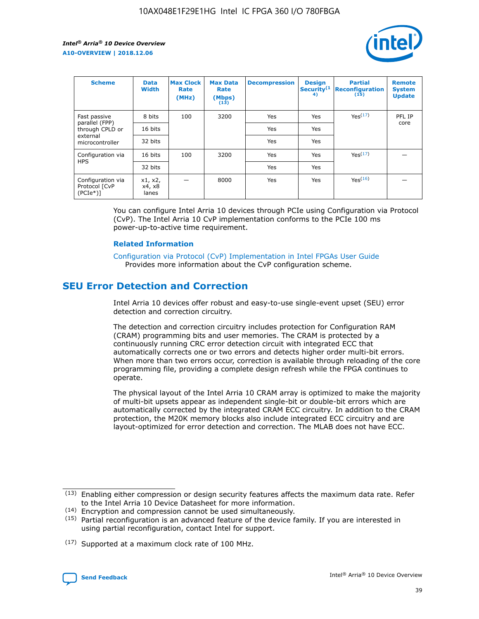

| <b>Scheme</b>                                   | <b>Data</b><br><b>Width</b> | <b>Max Clock</b><br>Rate<br>(MHz) | <b>Max Data</b><br>Rate<br>(Mbps)<br>(13) | <b>Decompression</b> | <b>Design</b><br>Security <sup>(1</sup><br>4) | <b>Partial</b><br><b>Reconfiguration</b><br>(15) | <b>Remote</b><br><b>System</b><br><b>Update</b> |
|-------------------------------------------------|-----------------------------|-----------------------------------|-------------------------------------------|----------------------|-----------------------------------------------|--------------------------------------------------|-------------------------------------------------|
| Fast passive                                    | 8 bits                      | 100                               | 3200                                      | Yes                  | Yes                                           | Yes(17)                                          | PFL IP                                          |
| parallel (FPP)<br>through CPLD or               | 16 bits                     |                                   |                                           | Yes                  | Yes                                           |                                                  | core                                            |
| external<br>microcontroller                     | 32 bits                     |                                   |                                           | Yes                  | Yes                                           |                                                  |                                                 |
| Configuration via                               | 16 bits                     | 100                               | 3200                                      | Yes                  | Yes                                           | Yes <sup>(17)</sup>                              |                                                 |
| <b>HPS</b>                                      | 32 bits                     |                                   |                                           | Yes                  | Yes                                           |                                                  |                                                 |
| Configuration via<br>Protocol [CvP<br>$(PCIe*)$ | x1, x2,<br>x4, x8<br>lanes  |                                   | 8000                                      | Yes                  | Yes                                           | Yes <sup>(16)</sup>                              |                                                 |

You can configure Intel Arria 10 devices through PCIe using Configuration via Protocol (CvP). The Intel Arria 10 CvP implementation conforms to the PCIe 100 ms power-up-to-active time requirement.

#### **Related Information**

[Configuration via Protocol \(CvP\) Implementation in Intel FPGAs User Guide](https://www.intel.com/content/www/us/en/programmable/documentation/dsu1441819344145.html#dsu1442269728522) Provides more information about the CvP configuration scheme.

# **SEU Error Detection and Correction**

Intel Arria 10 devices offer robust and easy-to-use single-event upset (SEU) error detection and correction circuitry.

The detection and correction circuitry includes protection for Configuration RAM (CRAM) programming bits and user memories. The CRAM is protected by a continuously running CRC error detection circuit with integrated ECC that automatically corrects one or two errors and detects higher order multi-bit errors. When more than two errors occur, correction is available through reloading of the core programming file, providing a complete design refresh while the FPGA continues to operate.

The physical layout of the Intel Arria 10 CRAM array is optimized to make the majority of multi-bit upsets appear as independent single-bit or double-bit errors which are automatically corrected by the integrated CRAM ECC circuitry. In addition to the CRAM protection, the M20K memory blocks also include integrated ECC circuitry and are layout-optimized for error detection and correction. The MLAB does not have ECC.

(14) Encryption and compression cannot be used simultaneously.

<sup>(17)</sup> Supported at a maximum clock rate of 100 MHz.



 $(13)$  Enabling either compression or design security features affects the maximum data rate. Refer to the Intel Arria 10 Device Datasheet for more information.

 $(15)$  Partial reconfiguration is an advanced feature of the device family. If you are interested in using partial reconfiguration, contact Intel for support.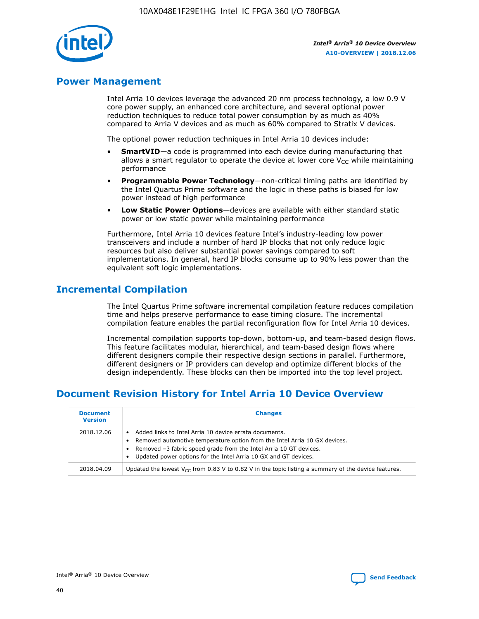

# **Power Management**

Intel Arria 10 devices leverage the advanced 20 nm process technology, a low 0.9 V core power supply, an enhanced core architecture, and several optional power reduction techniques to reduce total power consumption by as much as 40% compared to Arria V devices and as much as 60% compared to Stratix V devices.

The optional power reduction techniques in Intel Arria 10 devices include:

- **SmartVID**—a code is programmed into each device during manufacturing that allows a smart regulator to operate the device at lower core  $V_{CC}$  while maintaining performance
- **Programmable Power Technology**—non-critical timing paths are identified by the Intel Quartus Prime software and the logic in these paths is biased for low power instead of high performance
- **Low Static Power Options**—devices are available with either standard static power or low static power while maintaining performance

Furthermore, Intel Arria 10 devices feature Intel's industry-leading low power transceivers and include a number of hard IP blocks that not only reduce logic resources but also deliver substantial power savings compared to soft implementations. In general, hard IP blocks consume up to 90% less power than the equivalent soft logic implementations.

# **Incremental Compilation**

The Intel Quartus Prime software incremental compilation feature reduces compilation time and helps preserve performance to ease timing closure. The incremental compilation feature enables the partial reconfiguration flow for Intel Arria 10 devices.

Incremental compilation supports top-down, bottom-up, and team-based design flows. This feature facilitates modular, hierarchical, and team-based design flows where different designers compile their respective design sections in parallel. Furthermore, different designers or IP providers can develop and optimize different blocks of the design independently. These blocks can then be imported into the top level project.

# **Document Revision History for Intel Arria 10 Device Overview**

| <b>Document</b><br><b>Version</b> | <b>Changes</b>                                                                                                                                                                                                                                                              |
|-----------------------------------|-----------------------------------------------------------------------------------------------------------------------------------------------------------------------------------------------------------------------------------------------------------------------------|
| 2018.12.06                        | Added links to Intel Arria 10 device errata documents.<br>Removed automotive temperature option from the Intel Arria 10 GX devices.<br>Removed -3 fabric speed grade from the Intel Arria 10 GT devices.<br>Updated power options for the Intel Arria 10 GX and GT devices. |
| 2018.04.09                        | Updated the lowest $V_{CC}$ from 0.83 V to 0.82 V in the topic listing a summary of the device features.                                                                                                                                                                    |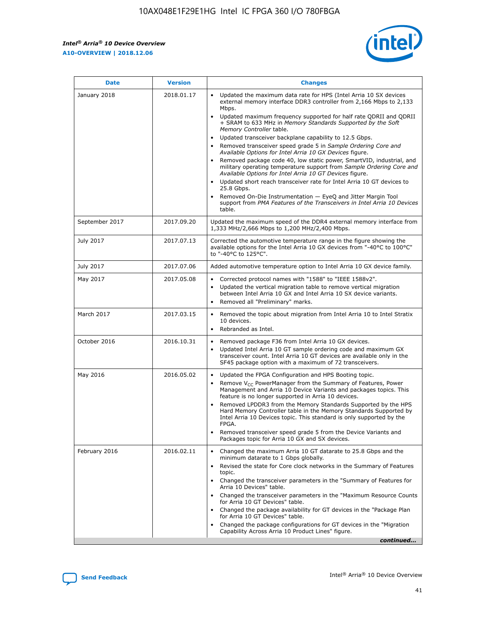$\mathsf{r}$ 



| <b>Date</b>    | <b>Version</b> | <b>Changes</b>                                                                                                                                                                                                                                                                                                                                                                                                                                                                                                                                                                                                                                                                                                                                                                                                                                                                                                                                                                         |
|----------------|----------------|----------------------------------------------------------------------------------------------------------------------------------------------------------------------------------------------------------------------------------------------------------------------------------------------------------------------------------------------------------------------------------------------------------------------------------------------------------------------------------------------------------------------------------------------------------------------------------------------------------------------------------------------------------------------------------------------------------------------------------------------------------------------------------------------------------------------------------------------------------------------------------------------------------------------------------------------------------------------------------------|
| January 2018   | 2018.01.17     | Updated the maximum data rate for HPS (Intel Arria 10 SX devices<br>external memory interface DDR3 controller from 2,166 Mbps to 2,133<br>Mbps.<br>Updated maximum frequency supported for half rate QDRII and QDRII<br>$\bullet$<br>+ SRAM to 633 MHz in Memory Standards Supported by the Soft<br>Memory Controller table.<br>Updated transceiver backplane capability to 12.5 Gbps.<br>$\bullet$<br>Removed transceiver speed grade 5 in Sample Ordering Core and<br>Available Options for Intel Arria 10 GX Devices figure.<br>Removed package code 40, low static power, SmartVID, industrial, and<br>military operating temperature support from Sample Ordering Core and<br>Available Options for Intel Arria 10 GT Devices figure.<br>Updated short reach transceiver rate for Intel Arria 10 GT devices to<br>25.8 Gbps.<br>Removed On-Die Instrumentation - EyeQ and Jitter Margin Tool<br>support from PMA Features of the Transceivers in Intel Arria 10 Devices<br>table. |
| September 2017 | 2017.09.20     | Updated the maximum speed of the DDR4 external memory interface from<br>1,333 MHz/2,666 Mbps to 1,200 MHz/2,400 Mbps.                                                                                                                                                                                                                                                                                                                                                                                                                                                                                                                                                                                                                                                                                                                                                                                                                                                                  |
| July 2017      | 2017.07.13     | Corrected the automotive temperature range in the figure showing the<br>available options for the Intel Arria 10 GX devices from "-40°C to 100°C"<br>to "-40°C to 125°C".                                                                                                                                                                                                                                                                                                                                                                                                                                                                                                                                                                                                                                                                                                                                                                                                              |
| July 2017      | 2017.07.06     | Added automotive temperature option to Intel Arria 10 GX device family.                                                                                                                                                                                                                                                                                                                                                                                                                                                                                                                                                                                                                                                                                                                                                                                                                                                                                                                |
| May 2017       | 2017.05.08     | Corrected protocol names with "1588" to "IEEE 1588v2".<br>$\bullet$<br>Updated the vertical migration table to remove vertical migration<br>$\bullet$<br>between Intel Arria 10 GX and Intel Arria 10 SX device variants.<br>Removed all "Preliminary" marks.<br>$\bullet$                                                                                                                                                                                                                                                                                                                                                                                                                                                                                                                                                                                                                                                                                                             |
| March 2017     | 2017.03.15     | Removed the topic about migration from Intel Arria 10 to Intel Stratix<br>10 devices.<br>Rebranded as Intel.<br>$\bullet$                                                                                                                                                                                                                                                                                                                                                                                                                                                                                                                                                                                                                                                                                                                                                                                                                                                              |
| October 2016   | 2016.10.31     | Removed package F36 from Intel Arria 10 GX devices.<br>Updated Intel Arria 10 GT sample ordering code and maximum GX<br>$\bullet$<br>transceiver count. Intel Arria 10 GT devices are available only in the<br>SF45 package option with a maximum of 72 transceivers.                                                                                                                                                                                                                                                                                                                                                                                                                                                                                                                                                                                                                                                                                                                  |
| May 2016       | 2016.05.02     | Updated the FPGA Configuration and HPS Booting topic.<br>Remove $V_{CC}$ PowerManager from the Summary of Features, Power<br>$\bullet$<br>Management and Arria 10 Device Variants and packages topics. This<br>feature is no longer supported in Arria 10 devices.<br>Removed LPDDR3 from the Memory Standards Supported by the HPS<br>Hard Memory Controller table in the Memory Standards Supported by<br>Intel Arria 10 Devices topic. This standard is only supported by the<br>FPGA.<br>Removed transceiver speed grade 5 from the Device Variants and<br>Packages topic for Arria 10 GX and SX devices.                                                                                                                                                                                                                                                                                                                                                                          |
| February 2016  | 2016.02.11     | Changed the maximum Arria 10 GT datarate to 25.8 Gbps and the<br>minimum datarate to 1 Gbps globally.<br>Revised the state for Core clock networks in the Summary of Features<br>$\bullet$<br>topic.<br>• Changed the transceiver parameters in the "Summary of Features for<br>Arria 10 Devices" table.<br>Changed the transceiver parameters in the "Maximum Resource Counts"<br>$\bullet$<br>for Arria 10 GT Devices" table.<br>• Changed the package availability for GT devices in the "Package Plan<br>for Arria 10 GT Devices" table.<br>Changed the package configurations for GT devices in the "Migration"<br>Capability Across Arria 10 Product Lines" figure.<br>continued                                                                                                                                                                                                                                                                                                 |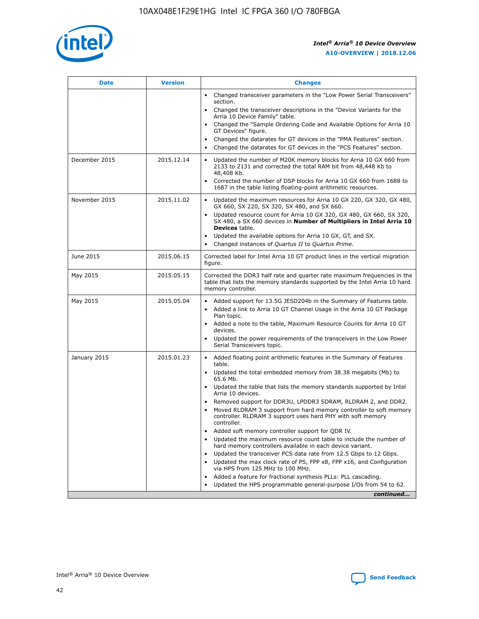

| <b>Date</b>   | <b>Version</b> | <b>Changes</b>                                                                                                                                                                   |
|---------------|----------------|----------------------------------------------------------------------------------------------------------------------------------------------------------------------------------|
|               |                | • Changed transceiver parameters in the "Low Power Serial Transceivers"<br>section.                                                                                              |
|               |                | • Changed the transceiver descriptions in the "Device Variants for the<br>Arria 10 Device Family" table.                                                                         |
|               |                | Changed the "Sample Ordering Code and Available Options for Arria 10<br>GT Devices" figure.                                                                                      |
|               |                | Changed the datarates for GT devices in the "PMA Features" section.                                                                                                              |
|               |                | Changed the datarates for GT devices in the "PCS Features" section.<br>$\bullet$                                                                                                 |
| December 2015 | 2015.12.14     | Updated the number of M20K memory blocks for Arria 10 GX 660 from<br>$\bullet$<br>2133 to 2131 and corrected the total RAM bit from 48,448 Kb to<br>48,408 Kb.                   |
|               |                | Corrected the number of DSP blocks for Arria 10 GX 660 from 1688 to<br>$\bullet$<br>1687 in the table listing floating-point arithmetic resources.                               |
| November 2015 | 2015.11.02     | Updated the maximum resources for Arria 10 GX 220, GX 320, GX 480,<br>$\bullet$<br>GX 660, SX 220, SX 320, SX 480, and SX 660.                                                   |
|               |                | Updated resource count for Arria 10 GX 320, GX 480, GX 660, SX 320,<br>$\bullet$<br>SX 480, a SX 660 devices in Number of Multipliers in Intel Arria 10<br><b>Devices</b> table. |
|               |                | Updated the available options for Arria 10 GX, GT, and SX.<br>$\bullet$                                                                                                          |
|               |                | Changed instances of Quartus II to Quartus Prime.<br>$\bullet$                                                                                                                   |
| June 2015     | 2015.06.15     | Corrected label for Intel Arria 10 GT product lines in the vertical migration<br>figure.                                                                                         |
| May 2015      | 2015.05.15     | Corrected the DDR3 half rate and quarter rate maximum frequencies in the<br>table that lists the memory standards supported by the Intel Arria 10 hard<br>memory controller.     |
| May 2015      | 2015.05.04     | • Added support for 13.5G JESD204b in the Summary of Features table.<br>• Added a link to Arria 10 GT Channel Usage in the Arria 10 GT Package<br>Plan topic.                    |
|               |                | • Added a note to the table, Maximum Resource Counts for Arria 10 GT<br>devices.                                                                                                 |
|               |                | Updated the power requirements of the transceivers in the Low Power<br>Serial Transceivers topic.                                                                                |
| January 2015  | 2015.01.23     | • Added floating point arithmetic features in the Summary of Features<br>table.                                                                                                  |
|               |                | • Updated the total embedded memory from 38.38 megabits (Mb) to<br>65.6 Mb.                                                                                                      |
|               |                | • Updated the table that lists the memory standards supported by Intel<br>Arria 10 devices.                                                                                      |
|               |                | Removed support for DDR3U, LPDDR3 SDRAM, RLDRAM 2, and DDR2.<br>Moved RLDRAM 3 support from hard memory controller to soft memory                                                |
|               |                | controller. RLDRAM 3 support uses hard PHY with soft memory<br>controller.                                                                                                       |
|               |                | Added soft memory controller support for QDR IV.                                                                                                                                 |
|               |                | Updated the maximum resource count table to include the number of<br>hard memory controllers available in each device variant.                                                   |
|               |                | Updated the transceiver PCS data rate from 12.5 Gbps to 12 Gbps.<br>$\bullet$                                                                                                    |
|               |                | Updated the max clock rate of PS, FPP x8, FPP x16, and Configuration<br>via HPS from 125 MHz to 100 MHz.                                                                         |
|               |                | Added a feature for fractional synthesis PLLs: PLL cascading.                                                                                                                    |
|               |                | Updated the HPS programmable general-purpose I/Os from 54 to 62.<br>$\bullet$                                                                                                    |
|               |                | continued                                                                                                                                                                        |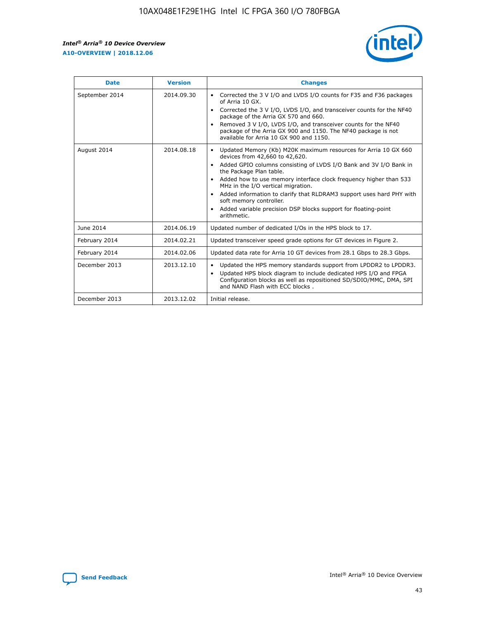

| <b>Date</b>    | <b>Version</b> | <b>Changes</b>                                                                                                                                                                                                                                                                                                                                                                                                                                                                                                                                                   |
|----------------|----------------|------------------------------------------------------------------------------------------------------------------------------------------------------------------------------------------------------------------------------------------------------------------------------------------------------------------------------------------------------------------------------------------------------------------------------------------------------------------------------------------------------------------------------------------------------------------|
| September 2014 | 2014.09.30     | Corrected the 3 V I/O and LVDS I/O counts for F35 and F36 packages<br>$\bullet$<br>of Arria 10 GX.<br>Corrected the 3 V I/O, LVDS I/O, and transceiver counts for the NF40<br>$\bullet$<br>package of the Arria GX 570 and 660.<br>Removed 3 V I/O, LVDS I/O, and transceiver counts for the NF40<br>$\bullet$<br>package of the Arria GX 900 and 1150. The NF40 package is not<br>available for Arria 10 GX 900 and 1150.                                                                                                                                       |
| August 2014    | 2014.08.18     | Updated Memory (Kb) M20K maximum resources for Arria 10 GX 660<br>$\bullet$<br>devices from 42,660 to 42,620.<br>Added GPIO columns consisting of LVDS I/O Bank and 3V I/O Bank in<br>$\bullet$<br>the Package Plan table.<br>Added how to use memory interface clock frequency higher than 533<br>$\bullet$<br>MHz in the I/O vertical migration.<br>Added information to clarify that RLDRAM3 support uses hard PHY with<br>$\bullet$<br>soft memory controller.<br>Added variable precision DSP blocks support for floating-point<br>$\bullet$<br>arithmetic. |
| June 2014      | 2014.06.19     | Updated number of dedicated I/Os in the HPS block to 17.                                                                                                                                                                                                                                                                                                                                                                                                                                                                                                         |
| February 2014  | 2014.02.21     | Updated transceiver speed grade options for GT devices in Figure 2.                                                                                                                                                                                                                                                                                                                                                                                                                                                                                              |
| February 2014  | 2014.02.06     | Updated data rate for Arria 10 GT devices from 28.1 Gbps to 28.3 Gbps.                                                                                                                                                                                                                                                                                                                                                                                                                                                                                           |
| December 2013  | 2013.12.10     | Updated the HPS memory standards support from LPDDR2 to LPDDR3.<br>$\bullet$<br>Updated HPS block diagram to include dedicated HPS I/O and FPGA<br>$\bullet$<br>Configuration blocks as well as repositioned SD/SDIO/MMC, DMA, SPI<br>and NAND Flash with ECC blocks.                                                                                                                                                                                                                                                                                            |
| December 2013  | 2013.12.02     | Initial release.                                                                                                                                                                                                                                                                                                                                                                                                                                                                                                                                                 |